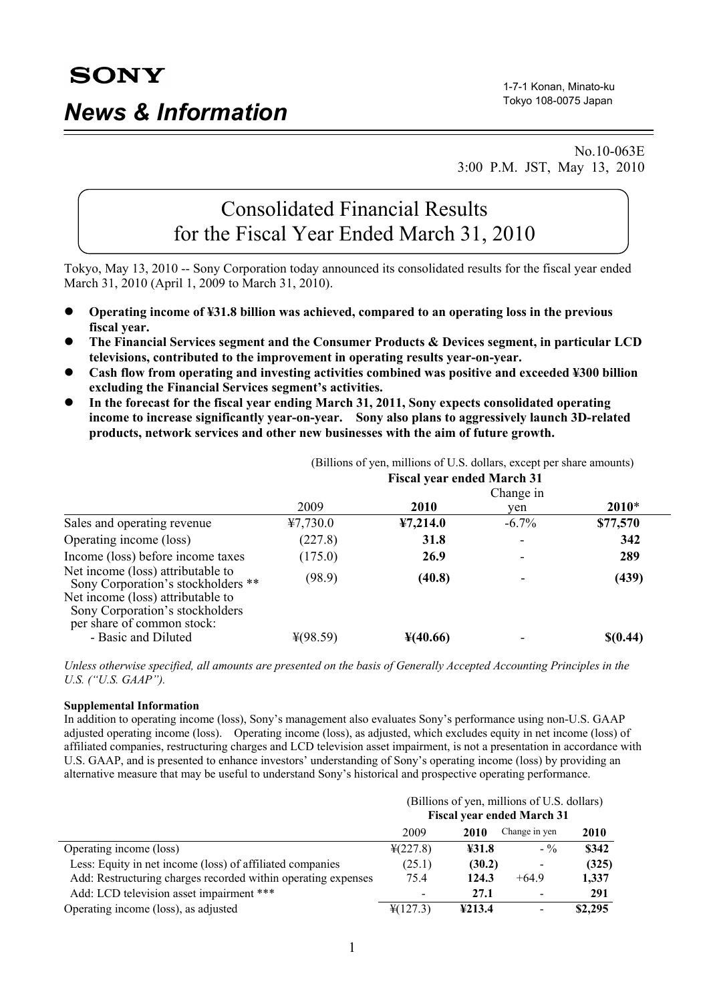# *News & Information*

1-7-1 Konan, Minato-ku Tokyo 108-0075 Japan

 No.10-063E 3:00 P.M. JST, May 13, 2010

# Consolidated Financial Results for the Fiscal Year Ended March 31, 2010

Tokyo, May 13, 2010 -- Sony Corporation today announced its consolidated results for the fiscal year ended March 31, 2010 (April 1, 2009 to March 31, 2010).

- z **Operating income of ¥31.8 billion was achieved, compared to an operating loss in the previous fiscal year.**
- z **The Financial Services segment and the Consumer Products & Devices segment, in particular LCD televisions, contributed to the improvement in operating results year-on-year.**
- z **Cash flow from operating and investing activities combined was positive and exceeded ¥300 billion excluding the Financial Services segment's activities.**
- In the forecast for the fiscal year ending March 31, 2011, Sony expects consolidated operating **income to increase significantly year-on-year. Sony also plans to aggressively launch 3D-related products, network services and other new businesses with the aim of future growth.**

|                                                                                                    | <b>Fiscal year ended March 31</b><br>Change in |                      |          |          |
|----------------------------------------------------------------------------------------------------|------------------------------------------------|----------------------|----------|----------|
|                                                                                                    | 2009                                           | 2010                 | ven      | 2010*    |
| Sales and operating revenue                                                                        | 47,730.0                                       | 47,214.0             | $-6.7\%$ | \$77,570 |
| Operating income (loss)                                                                            | (227.8)                                        | 31.8                 | -        | 342      |
| Income (loss) before income taxes                                                                  | (175.0)                                        | 26.9                 |          | 289      |
| Net income (loss) attributable to<br>Sony Corporation's stockholders **                            | (98.9)                                         | (40.8)               |          | (439)    |
| Net income (loss) attributable to<br>Sony Corporation's stockholders<br>per share of common stock: |                                                |                      |          |          |
| - Basic and Diluted                                                                                | $\frac{1}{2}(98.59)$                           | $\frac{1}{4}(40.66)$ |          | \$(0.44) |

(Billions of yen, millions of U.S. dollars, except per share amounts)

*Unless otherwise specified, all amounts are presented on the basis of Generally Accepted Accounting Principles in the U.S. ("U.S. GAAP").* 

## **Supplemental Information**

In addition to operating income (loss), Sony's management also evaluates Sony's performance using non-U.S. GAAP adjusted operating income (loss). Operating income (loss), as adjusted, which excludes equity in net income (loss) of affiliated companies, restructuring charges and LCD television asset impairment, is not a presentation in accordance with U.S. GAAP, and is presented to enhance investors' understanding of Sony's operating income (loss) by providing an alternative measure that may be useful to understand Sony's historical and prospective operating performance.

|                                                               | (Billions of yen, millions of U.S. dollars)<br><b>Fiscal year ended March 31</b> |                                             |               |         |
|---------------------------------------------------------------|----------------------------------------------------------------------------------|---------------------------------------------|---------------|---------|
|                                                               | 2009                                                                             | 2010                                        | Change in yen | 2010    |
| Operating income (loss)                                       | $\frac{1}{2}(227.8)$                                                             | $\textcolor{blue}{\textbf{\texttt{431.8}}}$ | $-$ %         | \$342   |
| Less: Equity in net income (loss) of affiliated companies     | (25.1)                                                                           | (30.2)                                      |               | (325)   |
| Add: Restructuring charges recorded within operating expenses | 75.4                                                                             | 124.3                                       | $+64.9$       | 1,337   |
| Add: LCD television asset impairment ***                      |                                                                                  | 27.1                                        |               | 291     |
| Operating income (loss), as adjusted                          | $\frac{1}{2}(127.3)$                                                             | 4213.4                                      |               | \$2.295 |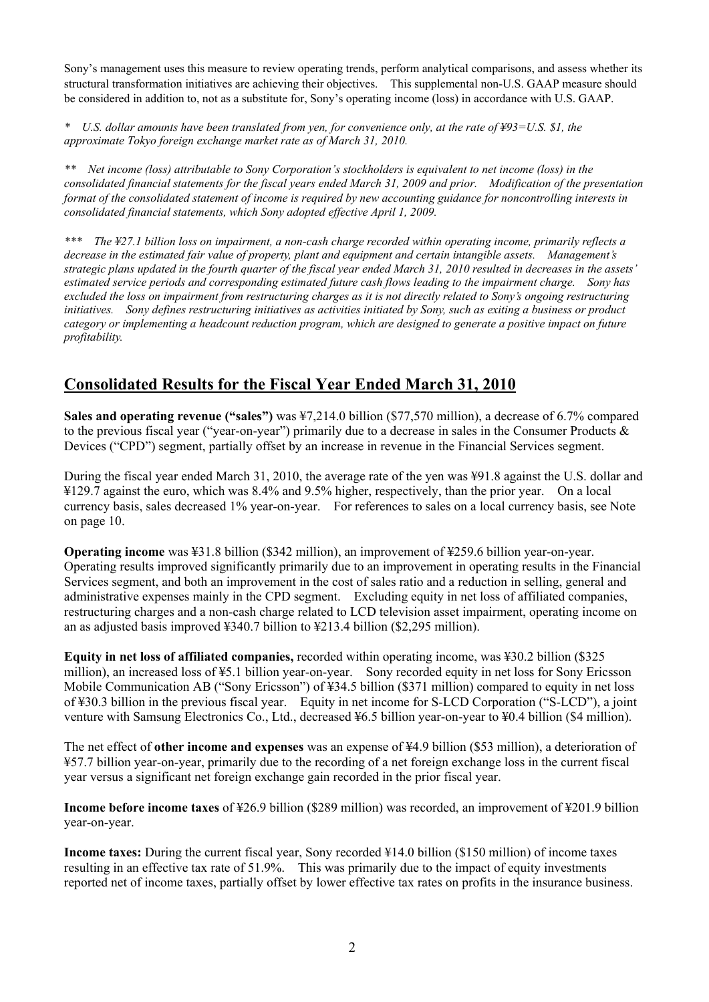Sony's management uses this measure to review operating trends, perform analytical comparisons, and assess whether its structural transformation initiatives are achieving their objectives. This supplemental non-U.S. GAAP measure should be considered in addition to, not as a substitute for, Sony's operating income (loss) in accordance with U.S. GAAP.

*\* U.S. dollar amounts have been translated from yen, for convenience only, at the rate of ¥93=U.S. \$1, the approximate Tokyo foreign exchange market rate as of March 31, 2010.* 

*\*\* Net income (loss) attributable to Sony Corporation's stockholders is equivalent to net income (loss) in the consolidated financial statements for the fiscal years ended March 31, 2009 and prior. Modification of the presentation format of the consolidated statement of income is required by new accounting guidance for noncontrolling interests in consolidated financial statements, which Sony adopted effective April 1, 2009.* 

*\*\*\* The ¥27.1 billion loss on impairment, a non-cash charge recorded within operating income, primarily reflects a decrease in the estimated fair value of property, plant and equipment and certain intangible assets. Management's strategic plans updated in the fourth quarter of the fiscal year ended March 31, 2010 resulted in decreases in the assets' estimated service periods and corresponding estimated future cash flows leading to the impairment charge. Sony has excluded the loss on impairment from restructuring charges as it is not directly related to Sony's ongoing restructuring initiatives. Sony defines restructuring initiatives as activities initiated by Sony, such as exiting a business or product category or implementing a headcount reduction program, which are designed to generate a positive impact on future profitability.* 

# **Consolidated Results for the Fiscal Year Ended March 31, 2010**

**Sales and operating revenue ("sales")** was ¥7,214.0 billion (\$77,570 million), a decrease of 6.7% compared to the previous fiscal year ("year-on-year") primarily due to a decrease in sales in the Consumer Products & Devices ("CPD") segment, partially offset by an increase in revenue in the Financial Services segment.

During the fiscal year ended March 31, 2010, the average rate of the yen was ¥91.8 against the U.S. dollar and ¥129.7 against the euro, which was 8.4% and 9.5% higher, respectively, than the prior year. On a local currency basis, sales decreased 1% year-on-year. For references to sales on a local currency basis, see Note on page 10.

**Operating income** was ¥31.8 billion (\$342 million), an improvement of ¥259.6 billion year-on-year. Operating results improved significantly primarily due to an improvement in operating results in the Financial Services segment, and both an improvement in the cost of sales ratio and a reduction in selling, general and administrative expenses mainly in the CPD segment. Excluding equity in net loss of affiliated companies, restructuring charges and a non-cash charge related to LCD television asset impairment, operating income on an as adjusted basis improved ¥340.7 billion to ¥213.4 billion (\$2,295 million).

**Equity in net loss of affiliated companies,** recorded within operating income, was ¥30.2 billion (\$325 million), an increased loss of ¥5.1 billion year-on-year. Sony recorded equity in net loss for Sony Ericsson Mobile Communication AB ("Sony Ericsson") of ¥34.5 billion (\$371 million) compared to equity in net loss of ¥30.3 billion in the previous fiscal year. Equity in net income for S-LCD Corporation ("S-LCD"), a joint venture with Samsung Electronics Co., Ltd., decreased ¥6.5 billion year-on-year to ¥0.4 billion (\$4 million).

The net effect of **other income and expenses** was an expense of ¥4.9 billion (\$53 million), a deterioration of ¥57.7 billion year-on-year, primarily due to the recording of a net foreign exchange loss in the current fiscal year versus a significant net foreign exchange gain recorded in the prior fiscal year.

**Income before income taxes** of ¥26.9 billion (\$289 million) was recorded, an improvement of ¥201.9 billion year-on-year.

**Income taxes:** During the current fiscal year, Sony recorded ¥14.0 billion (\$150 million) of income taxes resulting in an effective tax rate of 51.9%. This was primarily due to the impact of equity investments reported net of income taxes, partially offset by lower effective tax rates on profits in the insurance business.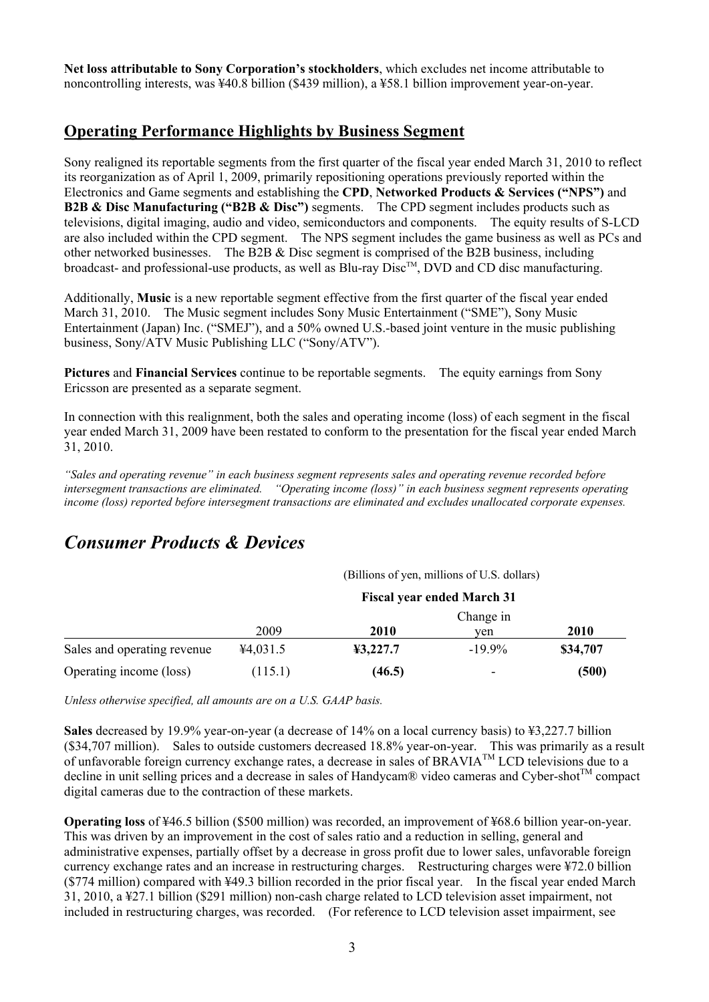**Net loss attributable to Sony Corporation's stockholders**, which excludes net income attributable to noncontrolling interests, was ¥40.8 billion (\$439 million), a ¥58.1 billion improvement year-on-year.

# **Operating Performance Highlights by Business Segment**

Sony realigned its reportable segments from the first quarter of the fiscal year ended March 31, 2010 to reflect its reorganization as of April 1, 2009, primarily repositioning operations previously reported within the Electronics and Game segments and establishing the **CPD**, **Networked Products & Services ("NPS")** and **B2B & Disc Manufacturing ("B2B & Disc")** segments. The CPD segment includes products such as televisions, digital imaging, audio and video, semiconductors and components. The equity results of S-LCD are also included within the CPD segment. The NPS segment includes the game business as well as PCs and other networked businesses. The B2B & Disc segment is comprised of the B2B business, including broadcast- and professional-use products, as well as Blu-ray Disc<sup>TM</sup>, DVD and CD disc manufacturing.

Additionally, **Music** is a new reportable segment effective from the first quarter of the fiscal year ended March 31, 2010. The Music segment includes Sony Music Entertainment ("SME"), Sony Music Entertainment (Japan) Inc. ("SMEJ"), and a 50% owned U.S.-based joint venture in the music publishing business, Sony/ATV Music Publishing LLC ("Sony/ATV").

**Pictures** and **Financial Services** continue to be reportable segments. The equity earnings from Sony Ericsson are presented as a separate segment.

In connection with this realignment, both the sales and operating income (loss) of each segment in the fiscal year ended March 31, 2009 have been restated to conform to the presentation for the fiscal year ended March 31, 2010.

*"Sales and operating revenue" in each business segment represents sales and operating revenue recorded before intersegment transactions are eliminated. "Operating income (loss)" in each business segment represents operating income (loss) reported before intersegment transactions are eliminated and excludes unallocated corporate expenses.* 

|                             | <b>Fiscal year ended March 31</b> |                  |                  |                  |  |
|-----------------------------|-----------------------------------|------------------|------------------|------------------|--|
|                             |                                   |                  | Change in        |                  |  |
| Sales and operating revenue | 2009<br>44,031.5                  | 2010<br>43,227.7 | ven<br>$-19.9\%$ | 2010<br>\$34,707 |  |
| Operating income (loss)     | 115.1)                            | (46.5)           |                  | (500)            |  |

(Billions of yen, millions of U.S. dollars)

# *Consumer Products & Devices*

*Unless otherwise specified, all amounts are on a U.S. GAAP basis.* 

**Sales** decreased by 19.9% year-on-year (a decrease of 14% on a local currency basis) to ¥3,227.7 billion (\$34,707 million). Sales to outside customers decreased 18.8% year-on-year. This was primarily as a result of unfavorable foreign currency exchange rates, a decrease in sales of BRAVIATM LCD televisions due to a decline in unit selling prices and a decrease in sales of Handycam® video cameras and Cyber-shot<sup>™</sup> compact digital cameras due to the contraction of these markets.

**Operating loss** of ¥46.5 billion (\$500 million) was recorded, an improvement of ¥68.6 billion year-on-year. This was driven by an improvement in the cost of sales ratio and a reduction in selling, general and administrative expenses, partially offset by a decrease in gross profit due to lower sales, unfavorable foreign currency exchange rates and an increase in restructuring charges. Restructuring charges were ¥72.0 billion (\$774 million) compared with ¥49.3 billion recorded in the prior fiscal year. In the fiscal year ended March 31, 2010, a ¥27.1 billion (\$291 million) non-cash charge related to LCD television asset impairment, not included in restructuring charges, was recorded. (For reference to LCD television asset impairment, see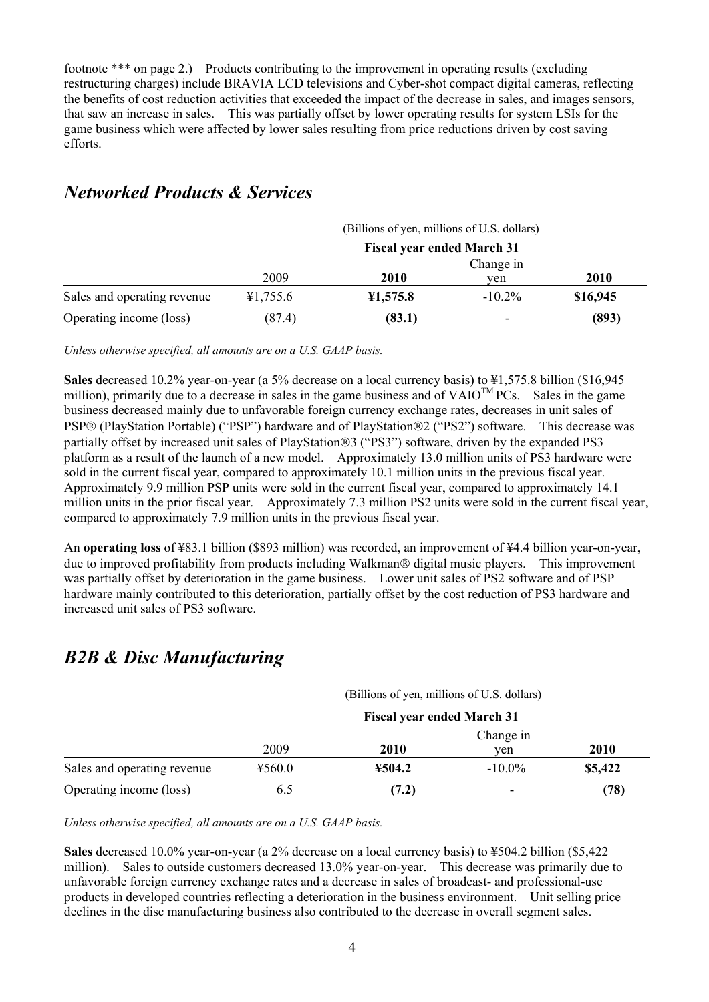footnote \*\*\* on page 2.) Products contributing to the improvement in operating results (excluding restructuring charges) include BRAVIA LCD televisions and Cyber-shot compact digital cameras, reflecting the benefits of cost reduction activities that exceeded the impact of the decrease in sales, and images sensors, that saw an increase in sales. This was partially offset by lower operating results for system LSIs for the game business which were affected by lower sales resulting from price reductions driven by cost saving efforts.

# *Networked Products & Services*

|                             | (Billions of yen, millions of U.S. dollars) |                                   |           |          |  |
|-----------------------------|---------------------------------------------|-----------------------------------|-----------|----------|--|
|                             |                                             | <b>Fiscal year ended March 31</b> |           |          |  |
|                             |                                             |                                   | Change in |          |  |
|                             | 2009                                        | 2010                              | ven       | 2010     |  |
| Sales and operating revenue | 41,755.6                                    | 41,575.8                          | $-10.2\%$ | \$16,945 |  |
| Operating income (loss)     | (87.4)                                      | (83.1)                            | ٠         | (893)    |  |

*Unless otherwise specified, all amounts are on a U.S. GAAP basis.* 

**Sales** decreased 10.2% year-on-year (a 5% decrease on a local currency basis) to ¥1,575.8 billion (\$16,945 million), primarily due to a decrease in sales in the game business and of  $VAIO<sup>TM</sup> PCs$ . Sales in the game business decreased mainly due to unfavorable foreign currency exchange rates, decreases in unit sales of PSP® (PlayStation Portable) ("PSP") hardware and of PlayStation®2 ("PS2") software. This decrease was partially offset by increased unit sales of PlayStation®3 ("PS3") software, driven by the expanded PS3 platform as a result of the launch of a new model. Approximately 13.0 million units of PS3 hardware were sold in the current fiscal year, compared to approximately 10.1 million units in the previous fiscal year. Approximately 9.9 million PSP units were sold in the current fiscal year, compared to approximately 14.1 million units in the prior fiscal year. Approximately 7.3 million PS2 units were sold in the current fiscal year, compared to approximately 7.9 million units in the previous fiscal year.

An **operating loss** of ¥83.1 billion (\$893 million) was recorded, an improvement of ¥4.4 billion year-on-year, due to improved profitability from products including Walkman® digital music players. This improvement was partially offset by deterioration in the game business. Lower unit sales of PS2 software and of PSP hardware mainly contributed to this deterioration, partially offset by the cost reduction of PS3 hardware and increased unit sales of PS3 software.

# *B2B & Disc Manufacturing*

(Billions of yen, millions of U.S. dollars)

|                             | <b>Fiscal year ended March 31</b> |        |           |             |  |  |
|-----------------------------|-----------------------------------|--------|-----------|-------------|--|--|
|                             |                                   |        | Change in |             |  |  |
|                             | 2009                              | 2010   | ven       | <b>2010</b> |  |  |
| Sales and operating revenue | 4560.0                            | ¥504.2 | $-10.0\%$ | \$5,422     |  |  |
| Operating income (loss)     | 6.5                               | (7.2)  | ۰         | (78)        |  |  |

*Unless otherwise specified, all amounts are on a U.S. GAAP basis.* 

**Sales** decreased 10.0% year-on-year (a 2% decrease on a local currency basis) to ¥504.2 billion (\$5,422 million). Sales to outside customers decreased 13.0% year-on-year. This decrease was primarily due to unfavorable foreign currency exchange rates and a decrease in sales of broadcast- and professional-use products in developed countries reflecting a deterioration in the business environment. Unit selling price declines in the disc manufacturing business also contributed to the decrease in overall segment sales.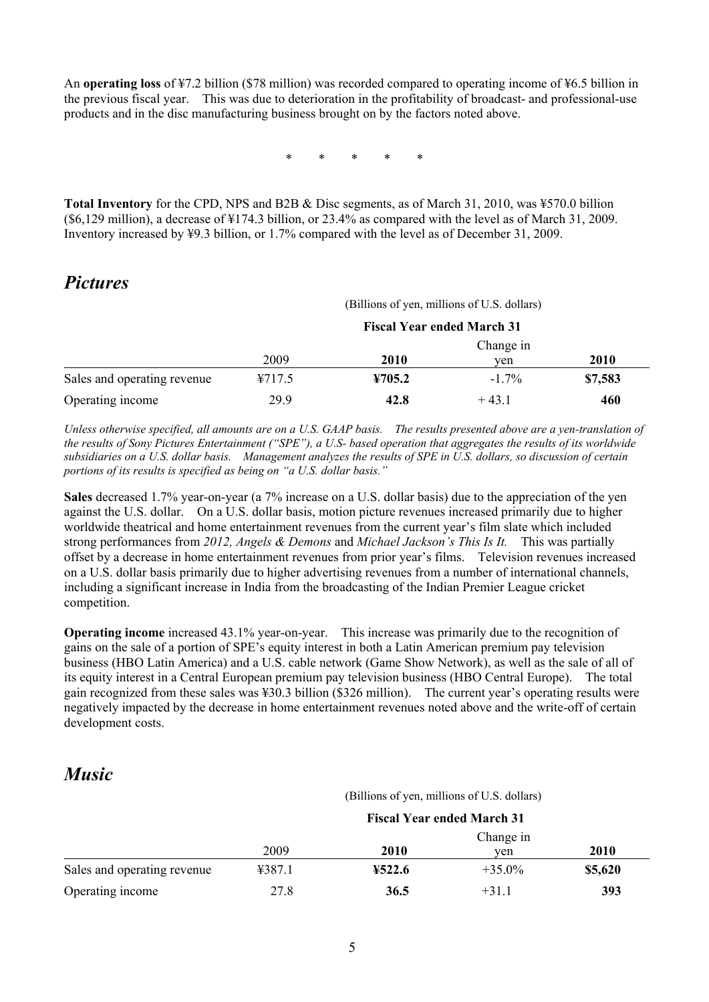An **operating loss** of ¥7.2 billion (\$78 million) was recorded compared to operating income of ¥6.5 billion in the previous fiscal year. This was due to deterioration in the profitability of broadcast- and professional-use products and in the disc manufacturing business brought on by the factors noted above.

\* \* \* \* \*

**Total Inventory** for the CPD, NPS and B2B & Disc segments, as of March 31, 2010, was ¥570.0 billion (\$6,129 million), a decrease of ¥174.3 billion, or 23.4% as compared with the level as of March 31, 2009. Inventory increased by ¥9.3 billion, or 1.7% compared with the level as of December 31, 2009.

# *Pictures*

|                             | (Billions of yen, millions of U.S. dollars) |        |                  |         |  |  |
|-----------------------------|---------------------------------------------|--------|------------------|---------|--|--|
|                             | <b>Fiscal Year ended March 31</b>           |        |                  |         |  |  |
|                             | 2009                                        | 2010   | Change in<br>ven | 2010    |  |  |
| Sales and operating revenue | ¥717.5                                      | 4705.2 | $-1.7\%$         | \$7,583 |  |  |
| Operating income            | 29.9                                        | 42.8   | $+43.1$          | 460     |  |  |

*Unless otherwise specified, all amounts are on a U.S. GAAP basis. The results presented above are a yen-translation of the results of Sony Pictures Entertainment ("SPE"), a U.S- based operation that aggregates the results of its worldwide subsidiaries on a U.S. dollar basis. Management analyzes the results of SPE in U.S. dollars, so discussion of certain portions of its results is specified as being on "a U.S. dollar basis."* 

**Sales** decreased 1.7% year-on-year (a 7% increase on a U.S. dollar basis) due to the appreciation of the yen against the U.S. dollar. On a U.S. dollar basis, motion picture revenues increased primarily due to higher worldwide theatrical and home entertainment revenues from the current year's film slate which included strong performances from *2012, Angels & Demons* and *Michael Jackson's This Is It.* This was partially offset by a decrease in home entertainment revenues from prior year's films. Television revenues increased on a U.S. dollar basis primarily due to higher advertising revenues from a number of international channels, including a significant increase in India from the broadcasting of the Indian Premier League cricket competition.

**Operating income** increased 43.1% year-on-year. This increase was primarily due to the recognition of gains on the sale of a portion of SPE's equity interest in both a Latin American premium pay television business (HBO Latin America) and a U.S. cable network (Game Show Network), as well as the sale of all of its equity interest in a Central European premium pay television business (HBO Central Europe). The total gain recognized from these sales was ¥30.3 billion (\$326 million). The current year's operating results were negatively impacted by the decrease in home entertainment revenues noted above and the write-off of certain development costs.

# *Music*

(Billions of yen, millions of U.S. dollars)

|                             | <b>Fiscal Year ended March 31</b> |        |           |         |  |
|-----------------------------|-----------------------------------|--------|-----------|---------|--|
|                             |                                   |        |           |         |  |
|                             | 2009                              | 2010   | ven       | 2010    |  |
| Sales and operating revenue | 4387.1                            | 4522.6 | $+35.0\%$ | \$5,620 |  |
| Operating income            | 27.8                              | 36.5   | $+31.1$   | 393     |  |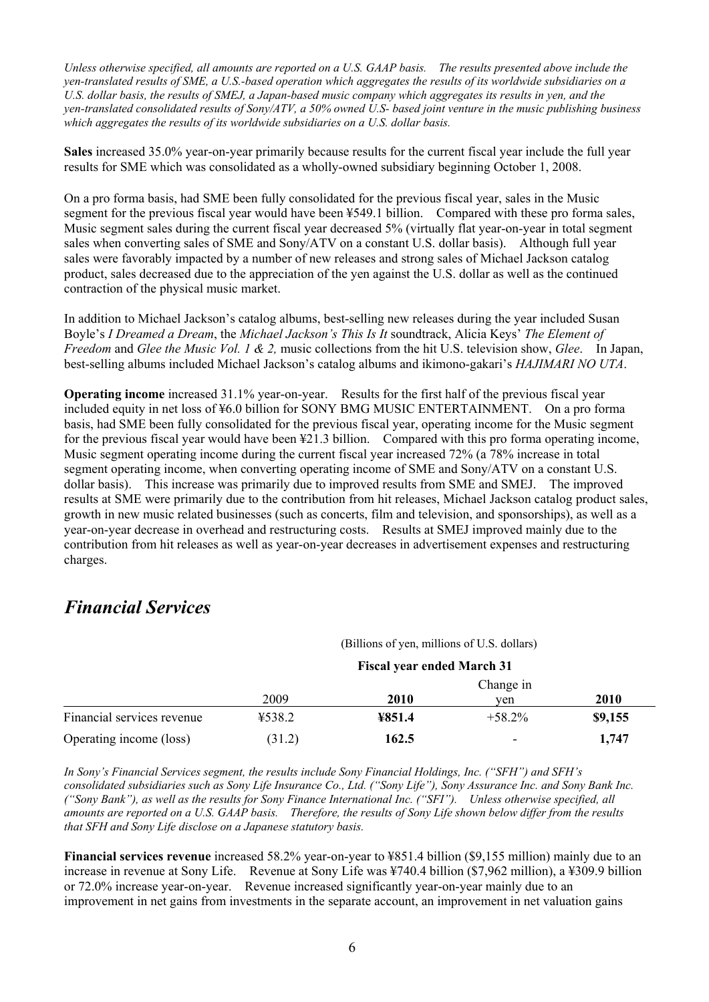*Unless otherwise specified, all amounts are reported on a U.S. GAAP basis. The results presented above include the yen-translated results of SME, a U.S.-based operation which aggregates the results of its worldwide subsidiaries on a U.S. dollar basis, the results of SMEJ, a Japan-based music company which aggregates its results in yen, and the yen-translated consolidated results of Sony/ATV, a 50% owned U.S- based joint venture in the music publishing business which aggregates the results of its worldwide subsidiaries on a U.S. dollar basis.* 

**Sales** increased 35.0% year-on-year primarily because results for the current fiscal year include the full year results for SME which was consolidated as a wholly-owned subsidiary beginning October 1, 2008.

On a pro forma basis, had SME been fully consolidated for the previous fiscal year, sales in the Music segment for the previous fiscal year would have been ¥549.1 billion. Compared with these pro forma sales, Music segment sales during the current fiscal year decreased 5% (virtually flat year-on-year in total segment sales when converting sales of SME and Sony/ATV on a constant U.S. dollar basis). Although full year sales were favorably impacted by a number of new releases and strong sales of Michael Jackson catalog product, sales decreased due to the appreciation of the yen against the U.S. dollar as well as the continued contraction of the physical music market.

In addition to Michael Jackson's catalog albums, best-selling new releases during the year included Susan Boyle's *I Dreamed a Dream*, the *Michael Jackson's This Is It* soundtrack, Alicia Keys' *The Element of Freedom* and *Glee the Music Vol. 1 & 2,* music collections from the hit U.S. television show, *Glee*. In Japan, best-selling albums included Michael Jackson's catalog albums and ikimono-gakari's *HAJIMARI NO UTA*.

**Operating income** increased 31.1% year-on-year. Results for the first half of the previous fiscal year included equity in net loss of ¥6.0 billion for SONY BMG MUSIC ENTERTAINMENT. On a pro forma basis, had SME been fully consolidated for the previous fiscal year, operating income for the Music segment for the previous fiscal year would have been ¥21.3 billion. Compared with this pro forma operating income, Music segment operating income during the current fiscal year increased 72% (a 78% increase in total segment operating income, when converting operating income of SME and Sony/ATV on a constant U.S. dollar basis). This increase was primarily due to improved results from SME and SMEJ. The improved results at SME were primarily due to the contribution from hit releases, Michael Jackson catalog product sales, growth in new music related businesses (such as concerts, film and television, and sponsorships), as well as a year-on-year decrease in overhead and restructuring costs. Results at SMEJ improved mainly due to the contribution from hit releases as well as year-on-year decreases in advertisement expenses and restructuring charges.

# *Financial Services*

|                            | <b>Fiscal year ended March 31</b> |        |                  |         |  |
|----------------------------|-----------------------------------|--------|------------------|---------|--|
|                            | 2009                              | 2010   | Change in        | 2010    |  |
| Financial services revenue | 4538.2                            | ¥851.4 | ven<br>$+58.2\%$ | \$9,155 |  |
| Operating income (loss)    | (31.2)                            | 162.5  | -                | 1,747   |  |

(Billions of yen, millions of U.S. dollars)

*In Sony's Financial Services segment, the results include Sony Financial Holdings, Inc. ("SFH") and SFH's consolidated subsidiaries such as Sony Life Insurance Co., Ltd. ("Sony Life"), Sony Assurance Inc. and Sony Bank Inc. ("Sony Bank"), as well as the results for Sony Finance International Inc. ("SFI"). Unless otherwise specified, all amounts are reported on a U.S. GAAP basis. Therefore, the results of Sony Life shown below differ from the results that SFH and Sony Life disclose on a Japanese statutory basis.* 

**Financial services revenue** increased 58.2% year-on-year to ¥851.4 billion (\$9,155 million) mainly due to an increase in revenue at Sony Life. Revenue at Sony Life was ¥740.4 billion (\$7,962 million), a ¥309.9 billion or 72.0% increase year-on-year. Revenue increased significantly year-on-year mainly due to an improvement in net gains from investments in the separate account, an improvement in net valuation gains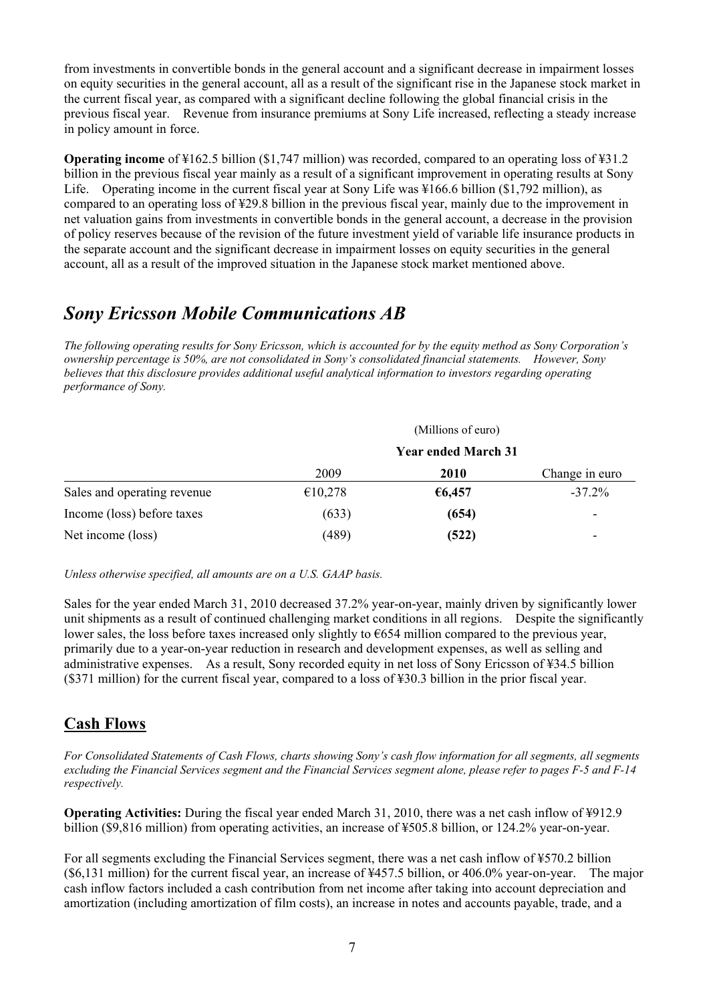from investments in convertible bonds in the general account and a significant decrease in impairment losses on equity securities in the general account, all as a result of the significant rise in the Japanese stock market in the current fiscal year, as compared with a significant decline following the global financial crisis in the previous fiscal year. Revenue from insurance premiums at Sony Life increased, reflecting a steady increase in policy amount in force.

**Operating income** of ¥162.5 billion (\$1,747 million) was recorded, compared to an operating loss of ¥31.2 billion in the previous fiscal year mainly as a result of a significant improvement in operating results at Sony Life. Operating income in the current fiscal year at Sony Life was  $\frac{166.6 \text{ billion}}{1,792 \text{ million}}$ , as compared to an operating loss of ¥29.8 billion in the previous fiscal year, mainly due to the improvement in net valuation gains from investments in convertible bonds in the general account, a decrease in the provision of policy reserves because of the revision of the future investment yield of variable life insurance products in the separate account and the significant decrease in impairment losses on equity securities in the general account, all as a result of the improved situation in the Japanese stock market mentioned above.

# *Sony Ericsson Mobile Communications AB*

*The following operating results for Sony Ericsson, which is accounted for by the equity method as Sony Corporation's ownership percentage is 50%, are not consolidated in Sony's consolidated financial statements. However, Sony believes that this disclosure provides additional useful analytical information to investors regarding operating performance of Sony.* 

|                             | (Millions of euro)         |           |                          |  |  |
|-----------------------------|----------------------------|-----------|--------------------------|--|--|
|                             | <b>Year ended March 31</b> |           |                          |  |  |
|                             | 2009                       | 2010      | Change in euro           |  |  |
| Sales and operating revenue | €10,278                    | € $6,457$ | $-37.2%$                 |  |  |
| Income (loss) before taxes  | (633)                      | (654)     | ٠                        |  |  |
| Net income (loss)           | (489)                      | (522)     | $\overline{\phantom{0}}$ |  |  |

*Unless otherwise specified, all amounts are on a U.S. GAAP basis.* 

Sales for the year ended March 31, 2010 decreased 37.2% year-on-year, mainly driven by significantly lower unit shipments as a result of continued challenging market conditions in all regions. Despite the significantly lower sales, the loss before taxes increased only slightly to  $\epsilon$ 654 million compared to the previous year, primarily due to a year-on-year reduction in research and development expenses, as well as selling and administrative expenses. As a result, Sony recorded equity in net loss of Sony Ericsson of ¥34.5 billion (\$371 million) for the current fiscal year, compared to a loss of ¥30.3 billion in the prior fiscal year.

# **Cash Flows**

*For Consolidated Statements of Cash Flows, charts showing Sony's cash flow information for all segments, all segments excluding the Financial Services segment and the Financial Services segment alone, please refer to pages F-5 and F-14 respectively.* 

**Operating Activities:** During the fiscal year ended March 31, 2010, there was a net cash inflow of ¥912.9 billion (\$9,816 million) from operating activities, an increase of ¥505.8 billion, or 124.2% year-on-year.

For all segments excluding the Financial Services segment, there was a net cash inflow of ¥570.2 billion (\$6,131 million) for the current fiscal year, an increase of ¥457.5 billion, or 406.0% year-on-year. The major cash inflow factors included a cash contribution from net income after taking into account depreciation and amortization (including amortization of film costs), an increase in notes and accounts payable, trade, and a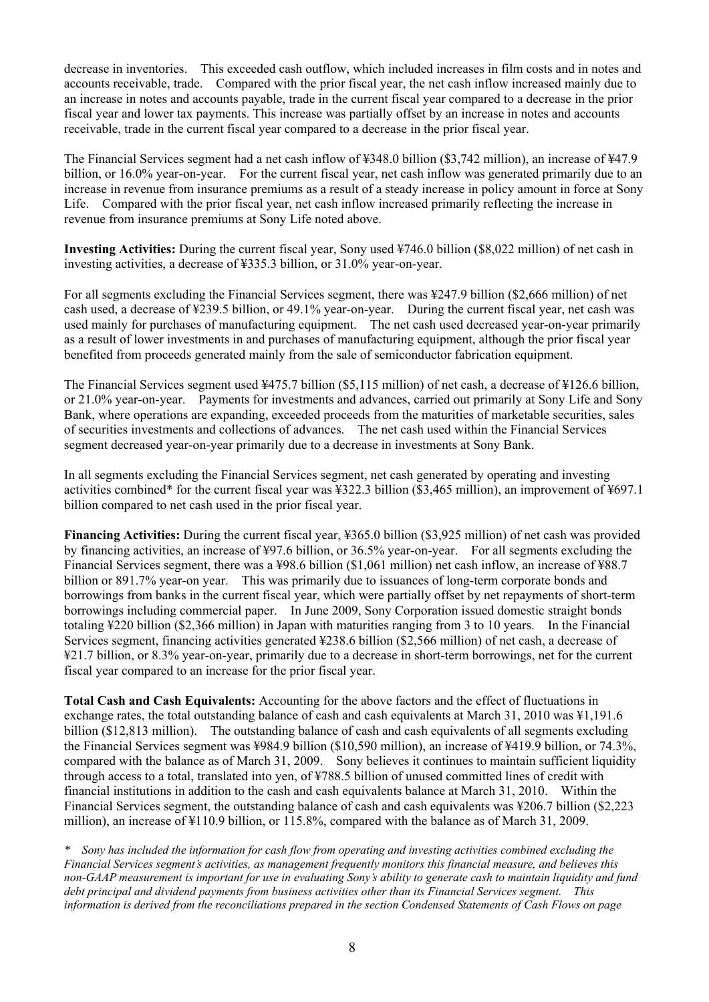decrease in inventories. This exceeded cash outflow, which included increases in film costs and in notes and accounts receivable, trade. Compared with the prior fiscal year, the net cash inflow increased mainly due to an increase in notes and accounts payable, trade in the current fiscal year compared to a decrease in the prior fiscal year and lower tax payments. This increase was partially offset by an increase in notes and accounts receivable, trade in the current fiscal year compared to a decrease in the prior fiscal year.

The Financial Services segment had a net cash inflow of ¥348.0 billion (\$3,742 million), an increase of ¥47.9 billion, or 16.0% year-on-year. For the current fiscal year, net cash inflow was generated primarily due to an increase in revenue from insurance premiums as a result of a steady increase in policy amount in force at Sony Life. Compared with the prior fiscal year, net cash inflow increased primarily reflecting the increase in revenue from insurance premiums at Sony Life noted above.

**Investing Activities:** During the current fiscal year, Sony used ¥746.0 billion (\$8,022 million) of net cash in investing activities, a decrease of ¥335.3 billion, or 31.0% year-on-year.

For all segments excluding the Financial Services segment, there was ¥247.9 billion (\$2,666 million) of net cash used, a decrease of ¥239.5 billion, or 49.1% year-on-year. During the current fiscal year, net cash was used mainly for purchases of manufacturing equipment. The net cash used decreased year-on-year primarily as a result of lower investments in and purchases of manufacturing equipment, although the prior fiscal year benefited from proceeds generated mainly from the sale of semiconductor fabrication equipment.

The Financial Services segment used ¥475.7 billion (\$5,115 million) of net cash, a decrease of ¥126.6 billion, or 21.0% year-on-year. Payments for investments and advances, carried out primarily at Sony Life and Sony Bank, where operations are expanding, exceeded proceeds from the maturities of marketable securities, sales of securities investments and collections of advances. The net cash used within the Financial Services segment decreased year-on-year primarily due to a decrease in investments at Sony Bank.

In all segments excluding the Financial Services segment, net cash generated by operating and investing activities combined\* for the current fiscal year was ¥322.3 billion (\$3,465 million), an improvement of ¥697.1 billion compared to net cash used in the prior fiscal year.

**Financing Activities:** During the current fiscal year, ¥365.0 billion (\$3,925 million) of net cash was provided by financing activities, an increase of ¥97.6 billion, or 36.5% year-on-year. For all segments excluding the Financial Services segment, there was a ¥98.6 billion (\$1,061 million) net cash inflow, an increase of ¥88.7 billion or 891.7% year-on year. This was primarily due to issuances of long-term corporate bonds and borrowings from banks in the current fiscal year, which were partially offset by net repayments of short-term borrowings including commercial paper. In June 2009, Sony Corporation issued domestic straight bonds totaling ¥220 billion (\$2,366 million) in Japan with maturities ranging from 3 to 10 years. In the Financial Services segment, financing activities generated ¥238.6 billion (\$2,566 million) of net cash, a decrease of ¥21.7 billion, or 8.3% year-on-year, primarily due to a decrease in short-term borrowings, net for the current fiscal year compared to an increase for the prior fiscal year.

**Total Cash and Cash Equivalents:** Accounting for the above factors and the effect of fluctuations in exchange rates, the total outstanding balance of cash and cash equivalents at March 31, 2010 was ¥1,191.6 billion (\$12,813 million). The outstanding balance of cash and cash equivalents of all segments excluding the Financial Services segment was ¥984.9 billion (\$10,590 million), an increase of ¥419.9 billion, or 74.3%, compared with the balance as of March 31, 2009. Sony believes it continues to maintain sufficient liquidity through access to a total, translated into yen, of ¥788.5 billion of unused committed lines of credit with financial institutions in addition to the cash and cash equivalents balance at March 31, 2010. Within the Financial Services segment, the outstanding balance of cash and cash equivalents was ¥206.7 billion (\$2,223) million), an increase of ¥110.9 billion, or 115.8%, compared with the balance as of March 31, 2009.

*\* Sony has included the information for cash flow from operating and investing activities combined excluding the Financial Services segment's activities, as management frequently monitors this financial measure, and believes this non-GAAP measurement is important for use in evaluating Sony's ability to generate cash to maintain liquidity and fund debt principal and dividend payments from business activities other than its Financial Services segment. This information is derived from the reconciliations prepared in the section Condensed Statements of Cash Flows on page*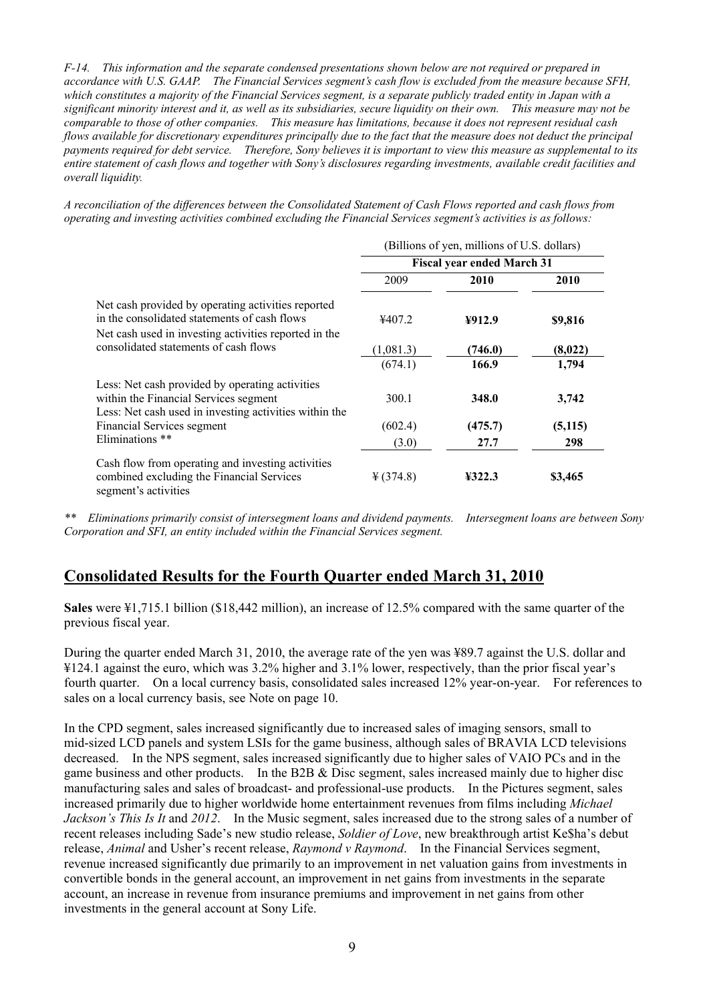*F-14. This information and the separate condensed presentations shown below are not required or prepared in accordance with U.S. GAAP. The Financial Services segment's cash flow is excluded from the measure because SFH, which constitutes a majority of the Financial Services segment, is a separate publicly traded entity in Japan with a significant minority interest and it, as well as its subsidiaries, secure liquidity on their own. This measure may not be comparable to those of other companies. This measure has limitations, because it does not represent residual cash flows available for discretionary expenditures principally due to the fact that the measure does not deduct the principal payments required for debt service. Therefore, Sony believes it is important to view this measure as supplemental to its entire statement of cash flows and together with Sony's disclosures regarding investments, available credit facilities and overall liquidity.* 

*A reconciliation of the differences between the Consolidated Statement of Cash Flows reported and cash flows from operating and investing activities combined excluding the Financial Services segment's activities is as follows:* 

|                                                                                                                                                    | (Billions of yen, millions of U.S. dollars)<br><b>Fiscal year ended March 31</b> |                  |                  |
|----------------------------------------------------------------------------------------------------------------------------------------------------|----------------------------------------------------------------------------------|------------------|------------------|
|                                                                                                                                                    |                                                                                  |                  |                  |
|                                                                                                                                                    | 2009                                                                             | 2010             | 2010             |
| Net cash provided by operating activities reported<br>in the consolidated statements of cash flows                                                 | ¥407.2                                                                           | 4912.9           | \$9,816          |
| Net cash used in investing activities reported in the<br>consolidated statements of cash flows                                                     | (1,081.3)<br>(674.1)                                                             | (746.0)<br>166.9 | (8,022)<br>1,794 |
|                                                                                                                                                    |                                                                                  |                  |                  |
| Less: Net cash provided by operating activities<br>within the Financial Services segment<br>Less: Net cash used in investing activities within the | 300.1                                                                            | 348.0            | 3,742            |
| Financial Services segment                                                                                                                         | (602.4)                                                                          | (475.7)          | (5,115)          |
| Eliminations **                                                                                                                                    | (3.0)                                                                            | 27.7             | 298              |
| Cash flow from operating and investing activities<br>combined excluding the Financial Services<br>segment's activities                             | ¥ (374.8)                                                                        | 4322.3           | \$3,465          |

*\*\* Eliminations primarily consist of intersegment loans and dividend payments. Intersegment loans are between Sony Corporation and SFI, an entity included within the Financial Services segment.* 

## **Consolidated Results for the Fourth Quarter ended March 31, 2010**

**Sales** were ¥1,715.1 billion (\$18,442 million), an increase of 12.5% compared with the same quarter of the previous fiscal year.

During the quarter ended March 31, 2010, the average rate of the yen was ¥89.7 against the U.S. dollar and ¥124.1 against the euro, which was 3.2% higher and 3.1% lower, respectively, than the prior fiscal year's fourth quarter. On a local currency basis, consolidated sales increased 12% year-on-year. For references to sales on a local currency basis, see Note on page 10.

In the CPD segment, sales increased significantly due to increased sales of imaging sensors, small to mid-sized LCD panels and system LSIs for the game business, although sales of BRAVIA LCD televisions decreased. In the NPS segment, sales increased significantly due to higher sales of VAIO PCs and in the game business and other products. In the B2B & Disc segment, sales increased mainly due to higher disc manufacturing sales and sales of broadcast- and professional-use products. In the Pictures segment, sales increased primarily due to higher worldwide home entertainment revenues from films including *Michael Jackson's This Is It* and *2012*. In the Music segment, sales increased due to the strong sales of a number of recent releases including Sade's new studio release, *Soldier of Love*, new breakthrough artist Ke\$ha's debut release, *Animal* and Usher's recent release, *Raymond v Raymond*. In the Financial Services segment, revenue increased significantly due primarily to an improvement in net valuation gains from investments in convertible bonds in the general account, an improvement in net gains from investments in the separate account, an increase in revenue from insurance premiums and improvement in net gains from other investments in the general account at Sony Life.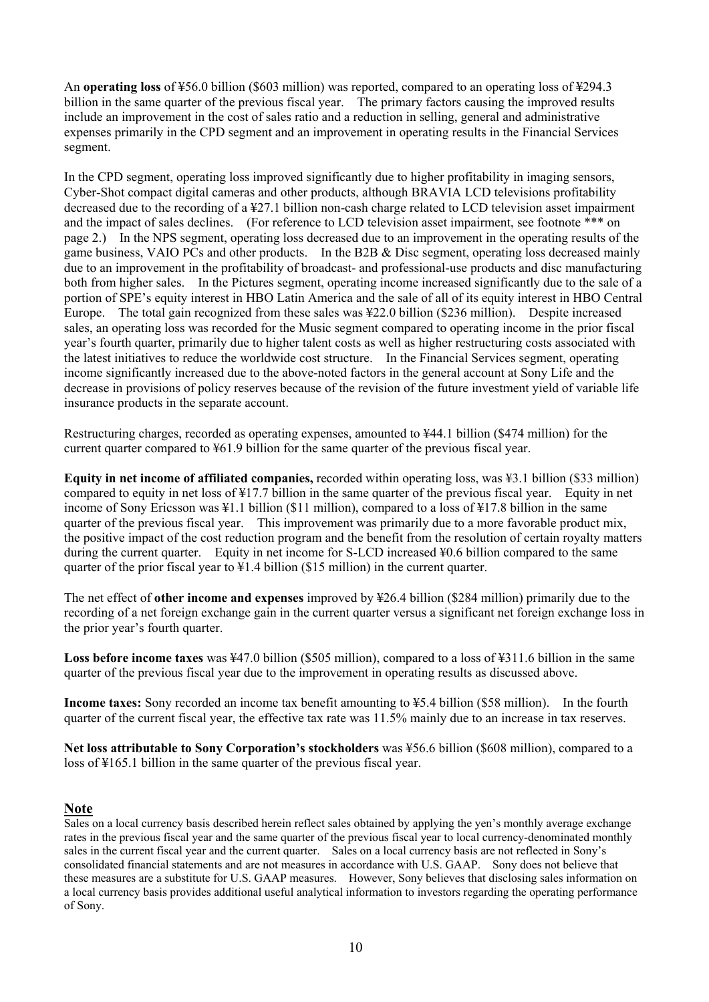An **operating loss** of ¥56.0 billion (\$603 million) was reported, compared to an operating loss of ¥294.3 billion in the same quarter of the previous fiscal year. The primary factors causing the improved results include an improvement in the cost of sales ratio and a reduction in selling, general and administrative expenses primarily in the CPD segment and an improvement in operating results in the Financial Services segment.

In the CPD segment, operating loss improved significantly due to higher profitability in imaging sensors, Cyber-Shot compact digital cameras and other products, although BRAVIA LCD televisions profitability decreased due to the recording of a ¥27.1 billion non-cash charge related to LCD television asset impairment and the impact of sales declines. (For reference to LCD television asset impairment, see footnote \*\*\* on page 2.) In the NPS segment, operating loss decreased due to an improvement in the operating results of the game business, VAIO PCs and other products. In the B2B & Disc segment, operating loss decreased mainly due to an improvement in the profitability of broadcast- and professional-use products and disc manufacturing both from higher sales. In the Pictures segment, operating income increased significantly due to the sale of a portion of SPE's equity interest in HBO Latin America and the sale of all of its equity interest in HBO Central Europe. The total gain recognized from these sales was ¥22.0 billion (\$236 million). Despite increased sales, an operating loss was recorded for the Music segment compared to operating income in the prior fiscal year's fourth quarter, primarily due to higher talent costs as well as higher restructuring costs associated with the latest initiatives to reduce the worldwide cost structure. In the Financial Services segment, operating income significantly increased due to the above-noted factors in the general account at Sony Life and the decrease in provisions of policy reserves because of the revision of the future investment yield of variable life insurance products in the separate account.

Restructuring charges, recorded as operating expenses, amounted to ¥44.1 billion (\$474 million) for the current quarter compared to  $\frac{1}{2}61.9$  billion for the same quarter of the previous fiscal year.

**Equity in net income of affiliated companies,** recorded within operating loss, was ¥3.1 billion (\$33 million) compared to equity in net loss of ¥17.7 billion in the same quarter of the previous fiscal year. Equity in net income of Sony Ericsson was ¥1.1 billion (\$11 million), compared to a loss of ¥17.8 billion in the same quarter of the previous fiscal year. This improvement was primarily due to a more favorable product mix, the positive impact of the cost reduction program and the benefit from the resolution of certain royalty matters during the current quarter. Equity in net income for S-LCD increased ¥0.6 billion compared to the same quarter of the prior fiscal year to ¥1.4 billion (\$15 million) in the current quarter.

The net effect of **other income and expenses** improved by ¥26.4 billion (\$284 million) primarily due to the recording of a net foreign exchange gain in the current quarter versus a significant net foreign exchange loss in the prior year's fourth quarter.

**Loss before income taxes** was ¥47.0 billion (\$505 million), compared to a loss of ¥311.6 billion in the same quarter of the previous fiscal year due to the improvement in operating results as discussed above.

**Income taxes:** Sony recorded an income tax benefit amounting to ¥5.4 billion (\$58 million). In the fourth quarter of the current fiscal year, the effective tax rate was 11.5% mainly due to an increase in tax reserves.

**Net loss attributable to Sony Corporation's stockholders** was ¥56.6 billion (\$608 million), compared to a loss of ¥165.1 billion in the same quarter of the previous fiscal year.

## **Note**

Sales on a local currency basis described herein reflect sales obtained by applying the yen's monthly average exchange rates in the previous fiscal year and the same quarter of the previous fiscal year to local currency-denominated monthly sales in the current fiscal year and the current quarter. Sales on a local currency basis are not reflected in Sony's consolidated financial statements and are not measures in accordance with U.S. GAAP. Sony does not believe that these measures are a substitute for U.S. GAAP measures. However, Sony believes that disclosing sales information on a local currency basis provides additional useful analytical information to investors regarding the operating performance of Sony.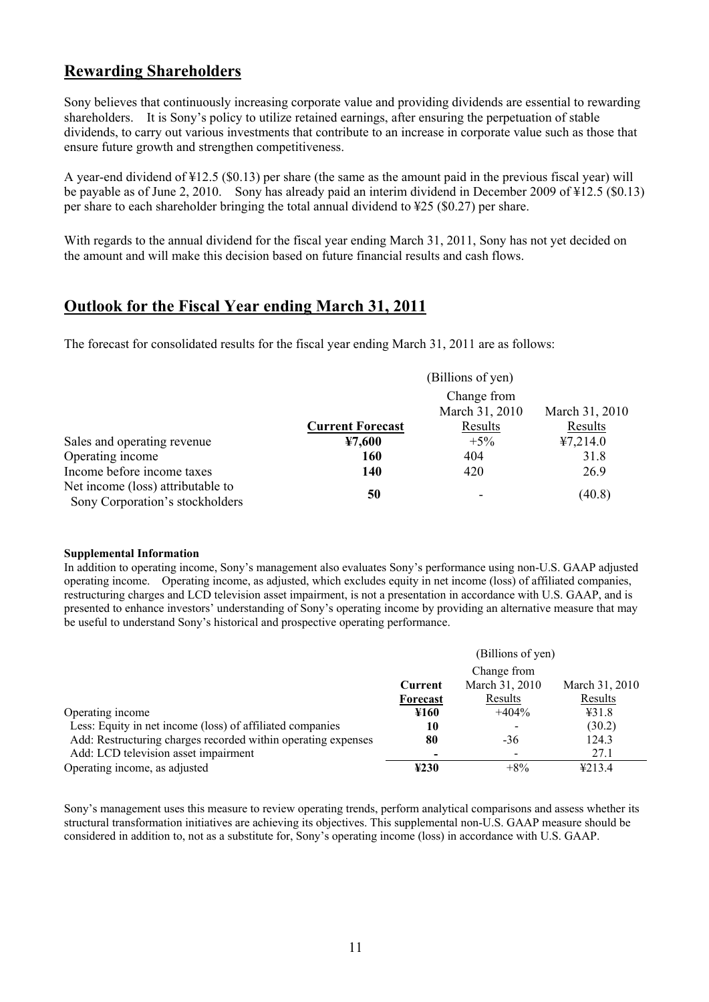# **Rewarding Shareholders**

Sony believes that continuously increasing corporate value and providing dividends are essential to rewarding shareholders. It is Sony's policy to utilize retained earnings, after ensuring the perpetuation of stable dividends, to carry out various investments that contribute to an increase in corporate value such as those that ensure future growth and strengthen competitiveness.

A year-end dividend of ¥12.5 (\$0.13) per share (the same as the amount paid in the previous fiscal year) will be payable as of June 2, 2010. Sony has already paid an interim dividend in December 2009 of ¥12.5 (\$0.13) per share to each shareholder bringing the total annual dividend to ¥25 (\$0.27) per share.

With regards to the annual dividend for the fiscal year ending March 31, 2011, Sony has not yet decided on the amount and will make this decision based on future financial results and cash flows.

# **Outlook for the Fiscal Year ending March 31, 2011**

The forecast for consolidated results for the fiscal year ending March 31, 2011 are as follows:

|                                                                      | (Billions of yen)       |                               |                |  |
|----------------------------------------------------------------------|-------------------------|-------------------------------|----------------|--|
|                                                                      |                         | Change from<br>March 31, 2010 | March 31, 2010 |  |
|                                                                      | <b>Current Forecast</b> | Results                       | Results        |  |
| Sales and operating revenue                                          | 47,600                  | $+5\%$                        | 47,214.0       |  |
| Operating income                                                     | <b>160</b>              | 404                           | 31.8           |  |
| Income before income taxes                                           | 140                     | 420                           | 26.9           |  |
| Net income (loss) attributable to<br>Sony Corporation's stockholders | 50                      | ۰                             | (40.8)         |  |

## **Supplemental Information**

In addition to operating income, Sony's management also evaluates Sony's performance using non-U.S. GAAP adjusted operating income. Operating income, as adjusted, which excludes equity in net income (loss) of affiliated companies, restructuring charges and LCD television asset impairment, is not a presentation in accordance with U.S. GAAP, and is presented to enhance investors' understanding of Sony's operating income by providing an alternative measure that may be useful to understand Sony's historical and prospective operating performance.

|                                                               | (Billions of yen) |                |                |
|---------------------------------------------------------------|-------------------|----------------|----------------|
|                                                               |                   | Change from    |                |
|                                                               | Current           | March 31, 2010 | March 31, 2010 |
|                                                               | Forecast          | Results        | Results        |
| Operating income                                              | ¥160              | $+404%$        | 431.8          |
| Less: Equity in net income (loss) of affiliated companies     | 10                |                | (30.2)         |
| Add: Restructuring charges recorded within operating expenses | 80                | $-36$          | 124.3          |
| Add: LCD television asset impairment                          |                   |                | 27.1           |
| Operating income, as adjusted                                 | ¥230              | $+8%$          | 4213.4         |

Sony's management uses this measure to review operating trends, perform analytical comparisons and assess whether its structural transformation initiatives are achieving its objectives. This supplemental non-U.S. GAAP measure should be considered in addition to, not as a substitute for, Sony's operating income (loss) in accordance with U.S. GAAP.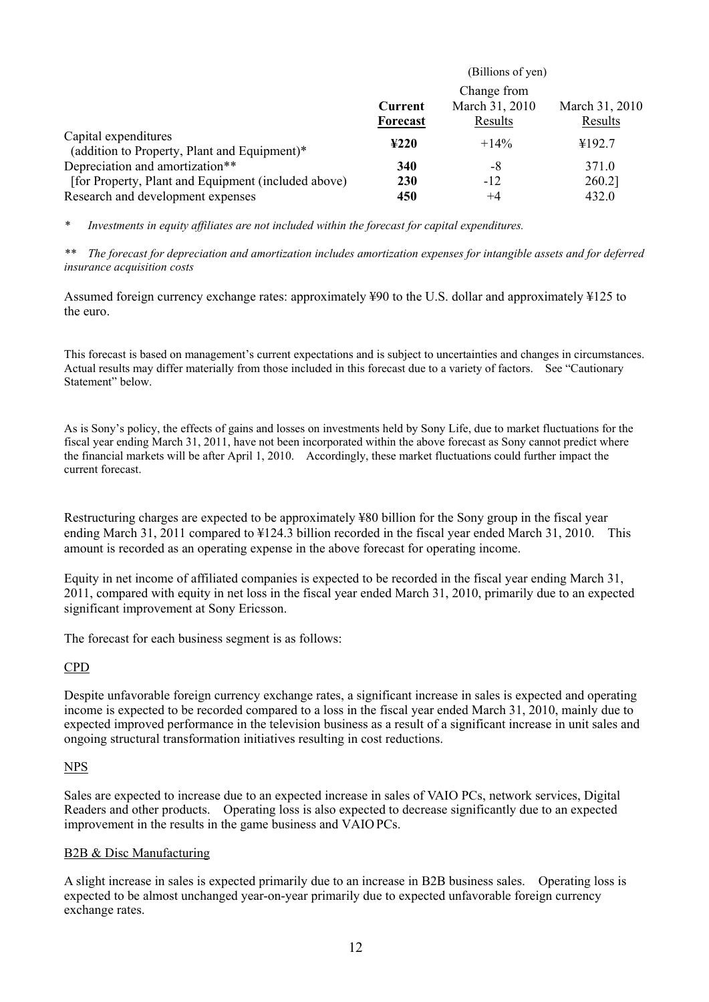|                                                                      |                                           | (Billions of yen)                        |                           |
|----------------------------------------------------------------------|-------------------------------------------|------------------------------------------|---------------------------|
|                                                                      | <b>Current</b><br><b>Forecast</b>         | Change from<br>March 31, 2010<br>Results | March 31, 2010<br>Results |
| Capital expenditures<br>(addition to Property, Plant and Equipment)* | $\textcolor{blue}{\textbf{\texttt{220}}}$ | $+14%$                                   | ¥192.7                    |
| Depreciation and amortization**                                      | 340                                       | -8                                       | 371.0                     |
| [for Property, Plant and Equipment (included above)                  | 230                                       | $-12$                                    | 260.2]                    |
| Research and development expenses                                    | 450                                       | $+4$                                     | 432.0                     |

*\* Investments in equity affiliates are not included within the forecast for capital expenditures.* 

*\*\* The forecast for depreciation and amortization includes amortization expenses for intangible assets and for deferred insurance acquisition costs* 

Assumed foreign currency exchange rates: approximately ¥90 to the U.S. dollar and approximately ¥125 to the euro.

This forecast is based on management's current expectations and is subject to uncertainties and changes in circumstances. Actual results may differ materially from those included in this forecast due to a variety of factors. See "Cautionary Statement" below.

As is Sony's policy, the effects of gains and losses on investments held by Sony Life, due to market fluctuations for the fiscal year ending March 31, 2011, have not been incorporated within the above forecast as Sony cannot predict where the financial markets will be after April 1, 2010. Accordingly, these market fluctuations could further impact the current forecast.

Restructuring charges are expected to be approximately ¥80 billion for the Sony group in the fiscal year ending March 31, 2011 compared to ¥124.3 billion recorded in the fiscal year ended March 31, 2010. This amount is recorded as an operating expense in the above forecast for operating income.

Equity in net income of affiliated companies is expected to be recorded in the fiscal year ending March 31, 2011, compared with equity in net loss in the fiscal year ended March 31, 2010, primarily due to an expected significant improvement at Sony Ericsson.

The forecast for each business segment is as follows:

## CPD

Despite unfavorable foreign currency exchange rates, a significant increase in sales is expected and operating income is expected to be recorded compared to a loss in the fiscal year ended March 31, 2010, mainly due to expected improved performance in the television business as a result of a significant increase in unit sales and ongoing structural transformation initiatives resulting in cost reductions.

## NPS

Sales are expected to increase due to an expected increase in sales of VAIO PCs, network services, Digital Readers and other products. Operating loss is also expected to decrease significantly due to an expected improvement in the results in the game business and VAIO PCs.

## B2B & Disc Manufacturing

A slight increase in sales is expected primarily due to an increase in B2B business sales. Operating loss is expected to be almost unchanged year-on-year primarily due to expected unfavorable foreign currency exchange rates.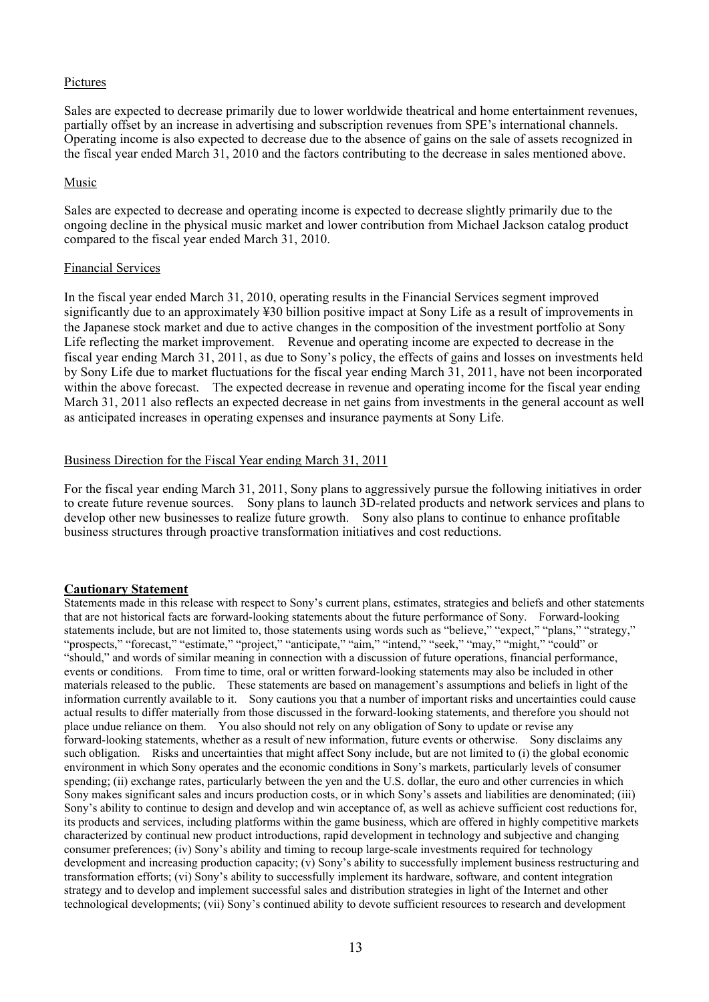## Pictures

Sales are expected to decrease primarily due to lower worldwide theatrical and home entertainment revenues, partially offset by an increase in advertising and subscription revenues from SPE's international channels. Operating income is also expected to decrease due to the absence of gains on the sale of assets recognized in the fiscal year ended March 31, 2010 and the factors contributing to the decrease in sales mentioned above.

## Music

Sales are expected to decrease and operating income is expected to decrease slightly primarily due to the ongoing decline in the physical music market and lower contribution from Michael Jackson catalog product compared to the fiscal year ended March 31, 2010.

## Financial Services

In the fiscal year ended March 31, 2010, operating results in the Financial Services segment improved significantly due to an approximately ¥30 billion positive impact at Sony Life as a result of improvements in the Japanese stock market and due to active changes in the composition of the investment portfolio at Sony Life reflecting the market improvement. Revenue and operating income are expected to decrease in the fiscal year ending March 31, 2011, as due to Sony's policy, the effects of gains and losses on investments held by Sony Life due to market fluctuations for the fiscal year ending March 31, 2011, have not been incorporated within the above forecast. The expected decrease in revenue and operating income for the fiscal year ending March 31, 2011 also reflects an expected decrease in net gains from investments in the general account as well as anticipated increases in operating expenses and insurance payments at Sony Life.

## Business Direction for the Fiscal Year ending March 31, 2011

For the fiscal year ending March 31, 2011, Sony plans to aggressively pursue the following initiatives in order to create future revenue sources. Sony plans to launch 3D-related products and network services and plans to develop other new businesses to realize future growth. Sony also plans to continue to enhance profitable business structures through proactive transformation initiatives and cost reductions.

## **Cautionary Statement**

Statements made in this release with respect to Sony's current plans, estimates, strategies and beliefs and other statements that are not historical facts are forward-looking statements about the future performance of Sony. Forward-looking statements include, but are not limited to, those statements using words such as "believe," "expect," "plans," "strategy," "prospects," "forecast," "estimate," "project," "anticipate," "aim," "intend," "seek," "may," "might," "could" or "should," and words of similar meaning in connection with a discussion of future operations, financial performance, events or conditions. From time to time, oral or written forward-looking statements may also be included in other materials released to the public. These statements are based on management's assumptions and beliefs in light of the information currently available to it. Sony cautions you that a number of important risks and uncertainties could cause actual results to differ materially from those discussed in the forward-looking statements, and therefore you should not place undue reliance on them. You also should not rely on any obligation of Sony to update or revise any forward-looking statements, whether as a result of new information, future events or otherwise. Sony disclaims any such obligation. Risks and uncertainties that might affect Sony include, but are not limited to (i) the global economic environment in which Sony operates and the economic conditions in Sony's markets, particularly levels of consumer spending; (ii) exchange rates, particularly between the yen and the U.S. dollar, the euro and other currencies in which Sony makes significant sales and incurs production costs, or in which Sony's assets and liabilities are denominated; (iii) Sony's ability to continue to design and develop and win acceptance of, as well as achieve sufficient cost reductions for, its products and services, including platforms within the game business, which are offered in highly competitive markets characterized by continual new product introductions, rapid development in technology and subjective and changing consumer preferences; (iv) Sony's ability and timing to recoup large-scale investments required for technology development and increasing production capacity; (v) Sony's ability to successfully implement business restructuring and transformation efforts; (vi) Sony's ability to successfully implement its hardware, software, and content integration strategy and to develop and implement successful sales and distribution strategies in light of the Internet and other technological developments; (vii) Sony's continued ability to devote sufficient resources to research and development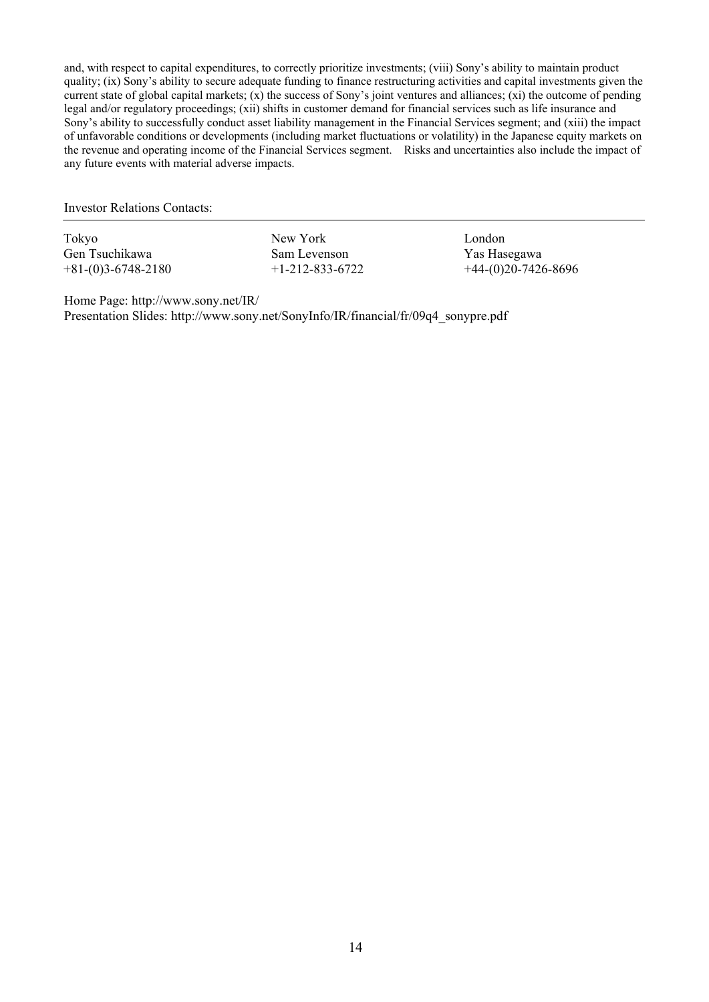and, with respect to capital expenditures, to correctly prioritize investments; (viii) Sony's ability to maintain product quality; (ix) Sony's ability to secure adequate funding to finance restructuring activities and capital investments given the current state of global capital markets; (x) the success of Sony's joint ventures and alliances; (xi) the outcome of pending legal and/or regulatory proceedings; (xii) shifts in customer demand for financial services such as life insurance and Sony's ability to successfully conduct asset liability management in the Financial Services segment; and (xiii) the impact of unfavorable conditions or developments (including market fluctuations or volatility) in the Japanese equity markets on the revenue and operating income of the Financial Services segment. Risks and uncertainties also include the impact of any future events with material adverse impacts.

Investor Relations Contacts:

Tokyo New York London Gen Tsuchikawa Sam Levenson Yas Hasegawa<br>
+81-(0)3-6748-2180 +1-212-833-6722 +44-(0)20-7426

 $+81-(0)3-6748-2180$   $+1-212-833-6722$   $+44-(0)20-7426-8696$ 

Home Page: http://www.sony.net/IR/ Presentation Slides: http://www.sony.net/SonyInfo/IR/financial/fr/09q4\_sonypre.pdf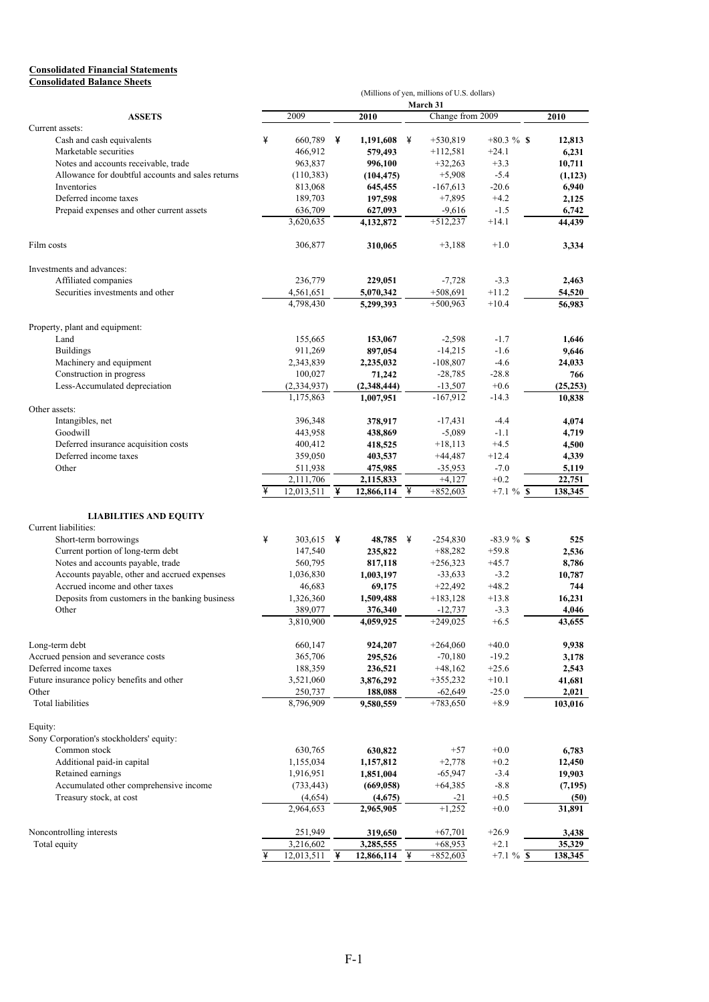#### **Consolidated Financial Statements Consolidated Balance Sheets**

|                                                   | (Millions of yen, millions of U.S. dollars) |                |   |               |   |                              |               |           |
|---------------------------------------------------|---------------------------------------------|----------------|---|---------------|---|------------------------------|---------------|-----------|
| <b>ASSETS</b>                                     |                                             | 2009           |   | 2010          |   | March 31<br>Change from 2009 |               | 2010      |
| Current assets:                                   |                                             |                |   |               |   |                              |               |           |
| Cash and cash equivalents                         | ¥                                           | 660,789        | ¥ | $1,191,608$ ¥ |   | $+530,819$                   | $+80.3 \%$ \$ | 12,813    |
| Marketable securities                             |                                             | 466,912        |   | 579,493       |   | $+112,581$                   | $+24.1$       | 6,231     |
| Notes and accounts receivable, trade              |                                             | 963,837        |   | 996,100       |   | $+32,263$                    | $+3.3$        | 10,711    |
| Allowance for doubtful accounts and sales returns |                                             | (110, 383)     |   | (104, 475)    |   | $+5,908$                     | $-5.4$        | (1, 123)  |
| Inventories                                       |                                             | 813,068        |   | 645,455       |   | $-167,613$                   | $-20.6$       | 6,940     |
| Deferred income taxes                             |                                             | 189,703        |   | 197,598       |   | $+7,895$                     | $+4.2$        | 2,125     |
| Prepaid expenses and other current assets         |                                             | 636,709        |   | 627,093       |   | $-9,616$                     | $-1.5$        | 6,742     |
|                                                   |                                             | 3,620,635      |   | 4,132,872     |   | $+512,237$                   | $+14.1$       | 44,439    |
| Film costs                                        |                                             | 306,877        |   | 310,065       |   | $+3,188$                     | $+1.0$        | 3,334     |
| Investments and advances:                         |                                             |                |   |               |   |                              |               |           |
| Affiliated companies                              |                                             | 236,779        |   | 229,051       |   | $-7,728$                     | $-3.3$        | 2,463     |
| Securities investments and other                  |                                             | 4,561,651      |   | 5,070,342     |   | $+508,691$                   | $+11.2$       | 54,520    |
|                                                   |                                             | 4,798,430      |   | 5,299,393     |   | $+500,963$                   | $+10.4$       | 56,983    |
| Property, plant and equipment:                    |                                             |                |   |               |   |                              |               |           |
| Land                                              |                                             | 155,665        |   | 153,067       |   | $-2,598$                     | $-1.7$        | 1,646     |
| <b>Buildings</b>                                  |                                             | 911,269        |   | 897,054       |   | $-14,215$                    | $-1.6$        | 9,646     |
| Machinery and equipment                           |                                             | 2,343,839      |   | 2,235,032     |   | $-108,807$                   | $-4.6$        | 24,033    |
| Construction in progress                          |                                             | 100,027        |   | 71,242        |   | $-28,785$                    | $-28.8$       | 766       |
| Less-Accumulated depreciation                     |                                             | (2, 334, 937)  |   | (2,348,444)   |   | $-13,507$                    | $+0.6$        | (25, 253) |
|                                                   |                                             | 1,175,863      |   | 1,007,951     |   | $-167,912$                   | $-14.3$       | 10,838    |
| Other assets:                                     |                                             |                |   |               |   |                              |               |           |
| Intangibles, net                                  |                                             | 396,348        |   | 378,917       |   | $-17,431$                    | $-4.4$        | 4,074     |
| Goodwill                                          |                                             | 443,958        |   | 438,869       |   | $-5,089$                     | $-1.1$        | 4,719     |
| Deferred insurance acquisition costs              |                                             | 400,412        |   | 418,525       |   | $+18,113$                    | $+4.5$        | 4,500     |
| Deferred income taxes                             |                                             | 359,050        |   | 403,537       |   | $+44,487$                    | $+12.4$       | 4,339     |
| Other                                             |                                             | 511,938        |   | 475,985       |   | $-35,953$                    | $-7.0$        | 5,119     |
|                                                   |                                             | 2,111,706      |   | 2,115,833     |   | $+4,127$                     | $+0.2$        | 22,751    |
|                                                   |                                             | 12,013,511     | ¥ | 12,866,114    | ¥ | $+852,603$                   | $+7.1 \%$ \$  | 138,345   |
| <b>LIABILITIES AND EQUITY</b>                     |                                             |                |   |               |   |                              |               |           |
| Current liabilities:                              |                                             |                |   |               |   |                              |               |           |
| Short-term borrowings                             | ¥                                           | 303,615        | ¥ | 48,785 ¥      |   | $-254,830$                   | $-83.9 \%$ \$ | 525       |
| Current portion of long-term debt                 |                                             | 147,540        |   | 235,822       |   | $+88,282$                    | $+59.8$       | 2,536     |
| Notes and accounts payable, trade                 |                                             | 560,795        |   | 817,118       |   | $+256,323$                   | $+45.7$       | 8,786     |
| Accounts payable, other and accrued expenses      |                                             | 1,036,830      |   | 1,003,197     |   | $-33,633$                    | $-3.2$        | 10,787    |
| Accrued income and other taxes                    |                                             | 46,683         |   | 69,175        |   | $+22,492$                    | $+48.2$       | 744       |
| Deposits from customers in the banking business   |                                             | 1,326,360      |   | 1,509,488     |   | $+183,128$                   | $+13.8$       | 16,231    |
| Other                                             |                                             | 389,077        |   | 376,340       |   | $-12,737$                    | $-3.3$        | 4,046     |
|                                                   |                                             | 3,810,900      |   | 4,059,925     |   | $+249,025$                   | $+6.5$        | 43,655    |
| Long-term debt                                    |                                             | 660,147        |   | 924,207       |   | $+264,060$                   | $+40.0$       | 9,938     |
| Accrued pension and severance costs               |                                             | 365,706        |   | 295,526       |   | $-70,180$                    | $-19.2$       | 3,178     |
| Deferred income taxes                             |                                             | 188,359        |   | 236,521       |   | $+48,162$                    | $+25.6$       | 2,543     |
| Future insurance policy benefits and other        |                                             | 3,521,060      |   | 3,876,292     |   | $+355,232$                   | $+10.1$       | 41,681    |
| Other                                             |                                             | 250,737        |   | 188,088       |   | $-62,649$                    | $-25.0$       | 2,021     |
| <b>Total liabilities</b>                          |                                             | 8,796,909      |   | 9,580,559     |   | $+783,650$                   | $+8.9$        | 103,016   |
| Equity:                                           |                                             |                |   |               |   |                              |               |           |
| Sony Corporation's stockholders' equity:          |                                             |                |   |               |   |                              |               |           |
| Common stock                                      |                                             | 630,765        |   | 630,822       |   | $+57$                        | $+0.0$        | 6,783     |
| Additional paid-in capital                        |                                             | 1,155,034      |   | 1,157,812     |   | $+2,778$                     | $+0.2$        | 12,450    |
| Retained earnings                                 |                                             | 1,916,951      |   | 1,851,004     |   | $-65,947$                    | $-3.4$        | 19,903    |
| Accumulated other comprehensive income            |                                             | (733, 443)     |   | (669, 058)    |   | $+64,385$                    | $-8.8$        | (7, 195)  |
| Treasury stock, at cost                           |                                             | (4,654)        |   | (4,675)       |   | $-21$                        | $+0.5$        | (50)      |
|                                                   |                                             | 2,964,653      |   | 2,965,905     |   | $+1,252$                     | $+0.0$        | 31,891    |
| Noncontrolling interests                          |                                             | 251,949        |   | 319,650       |   | $+67,701$                    | $+26.9$       | 3,438     |
| Total equity                                      |                                             | 3,216,602      |   | 3,285,555     |   | $+68,953$                    | $+2.1$        | 35,329    |
|                                                   |                                             | $12,013,511$ ¥ |   | 12,866,114 ¥  |   | $+852,603$                   | $+7.1 \%$ \$  | 138,345   |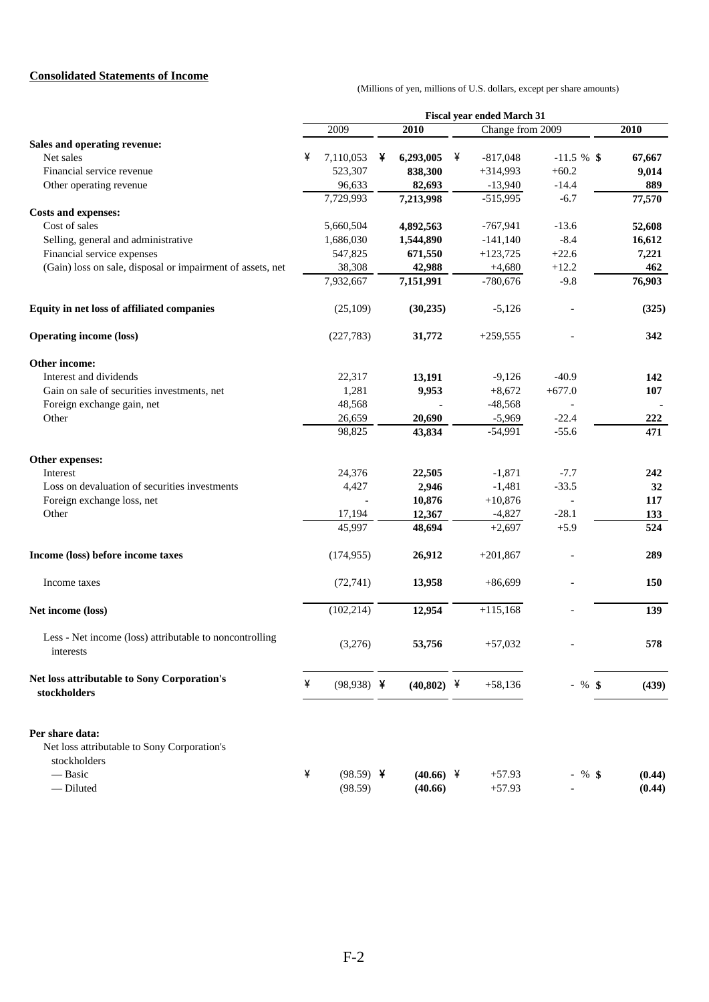## **Consolidated Statements of Income**

(Millions of yen, millions of U.S. dollars, except per share amounts)

|                                                                                                          | <b>Fiscal year ended March 31</b> |                        |   |                        |   |                      |               |      |                  |  |  |
|----------------------------------------------------------------------------------------------------------|-----------------------------------|------------------------|---|------------------------|---|----------------------|---------------|------|------------------|--|--|
|                                                                                                          |                                   | 2009                   |   | 2010                   |   | Change from 2009     |               | 2010 |                  |  |  |
| Sales and operating revenue:                                                                             |                                   |                        |   |                        |   |                      |               |      |                  |  |  |
| Net sales                                                                                                | ¥                                 | 7,110,053              | ¥ | 6,293,005              | ¥ | $-817,048$           | $-11.5 \%$ \$ |      | 67,667           |  |  |
| Financial service revenue                                                                                |                                   | 523,307                |   | 838,300                |   | $+314,993$           | $+60.2$       |      | 9,014            |  |  |
| Other operating revenue                                                                                  |                                   | 96,633                 |   | 82,693                 |   | $-13,940$            | $-14.4$       |      | 889              |  |  |
|                                                                                                          |                                   | 7,729,993              |   | 7,213,998              |   | $-515,995$           | $-6.7$        |      | 77,570           |  |  |
| <b>Costs and expenses:</b>                                                                               |                                   |                        |   |                        |   |                      |               |      |                  |  |  |
| Cost of sales                                                                                            |                                   | 5,660,504              |   | 4,892,563              |   | $-767,941$           | $-13.6$       |      | 52,608           |  |  |
| Selling, general and administrative                                                                      |                                   | 1,686,030              |   | 1,544,890              |   | $-141,140$           | $-8.4$        |      | 16,612           |  |  |
| Financial service expenses                                                                               |                                   | 547,825                |   | 671,550                |   | $+123,725$           | $+22.6$       |      | 7,221            |  |  |
| (Gain) loss on sale, disposal or impairment of assets, net                                               |                                   | 38,308                 |   | 42,988                 |   | $+4,680$             | $+12.2$       |      | 462              |  |  |
|                                                                                                          |                                   | 7,932,667              |   | 7,151,991              |   | $-780,676$           | $-9.8$        |      | 76,903           |  |  |
| Equity in net loss of affiliated companies                                                               |                                   | (25,109)               |   | (30, 235)              |   | $-5,126$             |               |      | (325)            |  |  |
| <b>Operating income (loss)</b>                                                                           |                                   | (227, 783)             |   | 31,772                 |   | $+259,555$           |               |      | 342              |  |  |
| Other income:                                                                                            |                                   |                        |   |                        |   |                      |               |      |                  |  |  |
| Interest and dividends                                                                                   |                                   | 22,317                 |   | 13,191                 |   | $-9,126$             | $-40.9$       |      | 142              |  |  |
| Gain on sale of securities investments, net                                                              |                                   | 1,281                  |   | 9,953                  |   | $+8,672$             | $+677.0$      |      | 107              |  |  |
| Foreign exchange gain, net                                                                               |                                   | 48,568                 |   |                        |   | $-48,568$            |               |      |                  |  |  |
| Other                                                                                                    |                                   | 26,659                 |   | 20,690                 |   | $-5,969$             | $-22.4$       |      | 222              |  |  |
|                                                                                                          |                                   | 98,825                 |   | 43,834                 |   | $-54,991$            | $-55.6$       |      | 471              |  |  |
| Other expenses:                                                                                          |                                   |                        |   |                        |   |                      |               |      |                  |  |  |
| Interest                                                                                                 |                                   | 24,376                 |   | 22,505                 |   | $-1,871$             | $-7.7$        |      | 242              |  |  |
| Loss on devaluation of securities investments                                                            |                                   | 4,427                  |   | 2,946                  |   | $-1,481$             | $-33.5$       |      | 32               |  |  |
| Foreign exchange loss, net                                                                               |                                   |                        |   | 10,876                 |   | $+10,876$            |               |      | 117              |  |  |
| Other                                                                                                    |                                   | 17,194                 |   | 12,367                 |   | $-4,827$             | $-28.1$       |      | 133              |  |  |
|                                                                                                          |                                   | 45,997                 |   | 48,694                 |   | $+2,697$             | $+5.9$        |      | 524              |  |  |
| Income (loss) before income taxes                                                                        |                                   | (174, 955)             |   | 26,912                 |   | $+201,867$           |               |      | 289              |  |  |
| Income taxes                                                                                             |                                   | (72, 741)              |   | 13,958                 |   | $+86,699$            |               |      | <b>150</b>       |  |  |
| Net income (loss)                                                                                        |                                   | (102, 214)             |   | 12,954                 |   | $+115,168$           |               |      | 139              |  |  |
| Less - Net income (loss) attributable to noncontrolling<br>interests                                     |                                   | (3,276)                |   | 53,756                 |   | $+57,032$            |               |      | 578              |  |  |
| Net loss attributable to Sony Corporation's<br>stockholders                                              | ¥                                 | $(98,938)$ ¥           |   | $(40,802)$ ¥           |   | $+58,136$            | $-$ % \$      |      | (439)            |  |  |
| Per share data:<br>Net loss attributable to Sony Corporation's<br>stockholders<br>$-$ Basic<br>- Diluted | ¥                                 | $(98.59)$ ¥<br>(98.59) |   | $(40.66)$ ¥<br>(40.66) |   | $+57.93$<br>$+57.93$ | $-$ % \$      |      | (0.44)<br>(0.44) |  |  |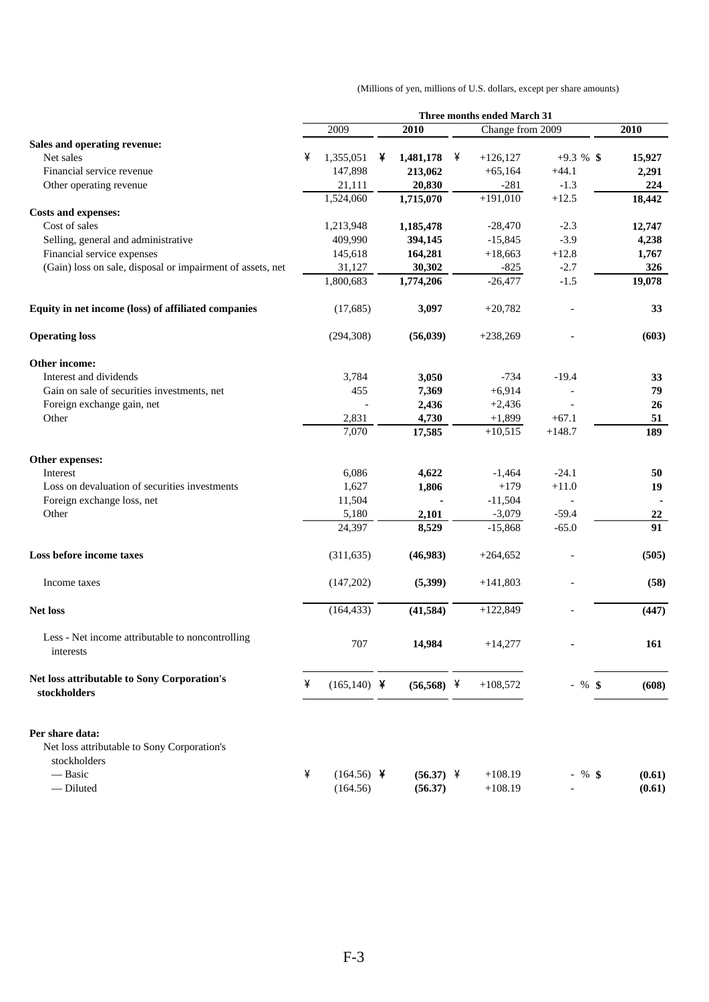(Millions of yen, millions of U.S. dollars, except per share amounts)

|                                                                                                        |   |                          |   |                        |   | <b>Three months ended March 31</b> |          |                  |  |  |
|--------------------------------------------------------------------------------------------------------|---|--------------------------|---|------------------------|---|------------------------------------|----------|------------------|--|--|
|                                                                                                        |   | 2009                     |   | 2010                   |   | Change from 2009                   |          | 2010             |  |  |
| Sales and operating revenue:                                                                           |   |                          |   |                        |   |                                    |          |                  |  |  |
| Net sales                                                                                              | ¥ | 1,355,051                | ¥ | 1,481,178              | ¥ | $+126,127$                         | $+9.3 %$ | 15,927           |  |  |
| Financial service revenue                                                                              |   | 147,898                  |   | 213,062                |   | $+65,164$                          | $+44.1$  | 2,291            |  |  |
| Other operating revenue                                                                                |   | 21,111                   |   | 20,830                 |   | $-281$                             | $-1.3$   | 224              |  |  |
|                                                                                                        |   | 1,524,060                |   | 1,715,070              |   | $+191,010$                         | $+12.5$  | 18,442           |  |  |
| <b>Costs and expenses:</b>                                                                             |   |                          |   |                        |   |                                    |          |                  |  |  |
| Cost of sales                                                                                          |   | 1,213,948                |   | 1,185,478              |   | $-28,470$                          | $-2.3$   | 12,747           |  |  |
| Selling, general and administrative                                                                    |   | 409,990                  |   | 394,145                |   | $-15,845$                          | $-3.9$   | 4,238            |  |  |
| Financial service expenses                                                                             |   | 145,618                  |   | 164,281                |   | $+18,663$                          | $+12.8$  | 1,767            |  |  |
| (Gain) loss on sale, disposal or impairment of assets, net                                             |   | 31,127                   |   | 30,302                 |   | $-825$                             | $-2.7$   | 326              |  |  |
|                                                                                                        |   | 1,800,683                |   | 1,774,206              |   | $-26,477$                          | $-1.5$   | 19,078           |  |  |
| Equity in net income (loss) of affiliated companies                                                    |   | (17,685)                 |   | 3,097                  |   | $+20,782$                          |          | 33               |  |  |
| <b>Operating loss</b>                                                                                  |   | (294, 308)               |   | (56, 039)              |   | $+238,269$                         |          | (603)            |  |  |
| Other income:                                                                                          |   |                          |   |                        |   |                                    |          |                  |  |  |
| Interest and dividends                                                                                 |   | 3,784                    |   | 3,050                  |   | $-734$                             | $-19.4$  | 33               |  |  |
| Gain on sale of securities investments, net                                                            |   | 455                      |   | 7,369                  |   | $+6,914$                           |          | 79               |  |  |
| Foreign exchange gain, net                                                                             |   |                          |   | 2,436                  |   | $+2,436$                           |          | 26               |  |  |
| Other                                                                                                  |   | 2,831                    |   | 4,730                  |   | $+1,899$                           | $+67.1$  | 51               |  |  |
|                                                                                                        |   | 7,070                    |   | 17,585                 |   | $+10,515$                          | $+148.7$ | 189              |  |  |
| Other expenses:                                                                                        |   |                          |   |                        |   |                                    |          |                  |  |  |
| Interest                                                                                               |   | 6,086                    |   | 4,622                  |   | $-1,464$                           | $-24.1$  | 50               |  |  |
| Loss on devaluation of securities investments                                                          |   | 1,627                    |   | 1,806                  |   | $+179$                             | $+11.0$  | 19               |  |  |
| Foreign exchange loss, net                                                                             |   | 11,504                   |   |                        |   | $-11,504$                          |          |                  |  |  |
| Other                                                                                                  |   | 5,180                    |   | 2,101                  |   | $-3,079$                           | $-59.4$  | 22               |  |  |
|                                                                                                        |   | 24,397                   |   | 8,529                  |   | $-15,868$                          | $-65.0$  | 91               |  |  |
| Loss before income taxes                                                                               |   | (311, 635)               |   | (46,983)               |   | $+264,652$                         |          | (505)            |  |  |
| Income taxes                                                                                           |   | (147,202)                |   | (5,399)                |   | $+141,803$                         |          | (58)             |  |  |
| <b>Net loss</b>                                                                                        |   | (164, 433)               |   | (41, 584)              |   | $+122,849$                         |          | (447)            |  |  |
| Less - Net income attributable to noncontrolling<br>interests                                          |   | 707                      |   | 14,984                 |   | $+14,277$                          |          | 161              |  |  |
| Net loss attributable to Sony Corporation's<br>stockholders                                            | ¥ | $(165, 140)$ ¥           |   | $(56,568)$ ¥           |   | $+108,572$                         | - % \$   | (608)            |  |  |
| Per share data:<br>Net loss attributable to Sony Corporation's<br>stockholders<br>— Basic<br>- Diluted | ¥ | $(164.56)$ ¥<br>(164.56) |   | $(56.37)$ ¥<br>(56.37) |   | $+108.19$<br>$+108.19$             | $-$ % \$ | (0.61)<br>(0.61) |  |  |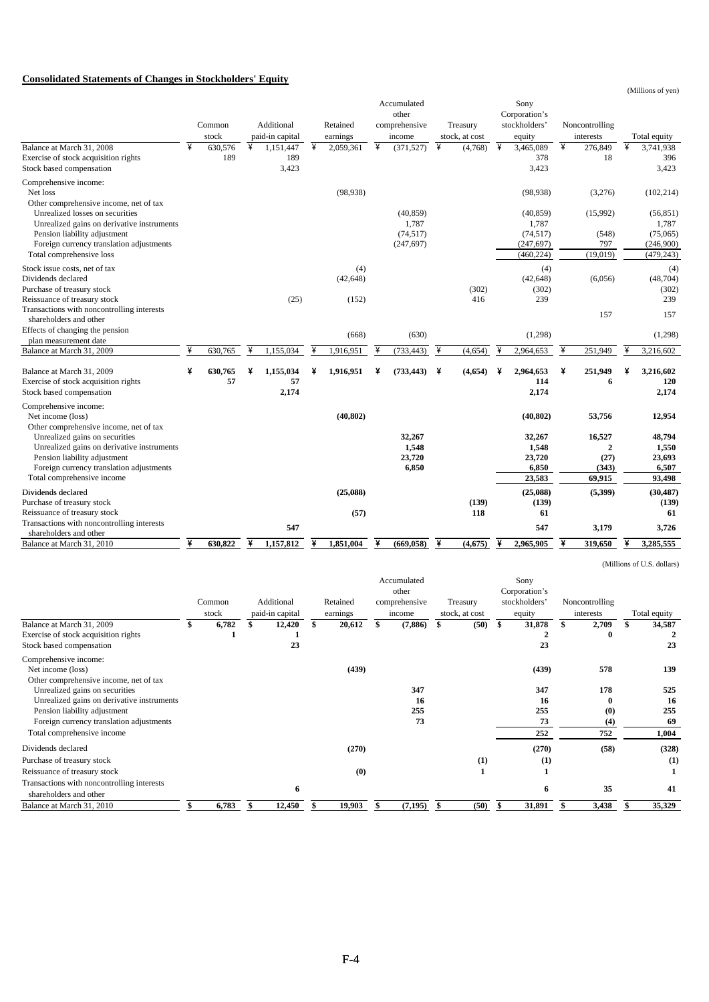## **Consolidated Statements of Changes in Stockholders' Equity**

|                                                                                                                                                                                                                                                                                |   | Common<br>stock |   | Additional<br>paid-in capital |   | Retained<br>earnings      |   | Accumulated<br>other<br>comprehensive<br>income |   | Treasury<br>stock, at cost |   | Sony<br>Corporation's<br>stockholders'<br>equity                         |   | Noncontrolling<br>interests                                   |   | Total equity                                                            |
|--------------------------------------------------------------------------------------------------------------------------------------------------------------------------------------------------------------------------------------------------------------------------------|---|-----------------|---|-------------------------------|---|---------------------------|---|-------------------------------------------------|---|----------------------------|---|--------------------------------------------------------------------------|---|---------------------------------------------------------------|---|-------------------------------------------------------------------------|
| Balance at March 31, 2008<br>Exercise of stock acquisition rights<br>Stock based compensation                                                                                                                                                                                  | ¥ | 630,576<br>189  | ¥ | 1.151.447<br>189<br>3,423     | ¥ | 2,059,361                 | ¥ | (371, 527)                                      | ¥ | (4,768)                    | ¥ | 3,465,089<br>378<br>3,423                                                | ¥ | 276,849<br>18                                                 | ¥ | 3.741.938<br>396<br>3,423                                               |
| Comprehensive income:<br>Net loss<br>Other comprehensive income, net of tax<br>Unrealized losses on securities<br>Unrealized gains on derivative instruments<br>Pension liability adjustment<br>Foreign currency translation adjustments<br>Total comprehensive loss           |   |                 |   |                               |   | (98, 938)                 |   | (40, 859)<br>1.787<br>(74, 517)<br>(247, 697)   |   |                            |   | (98, 938)<br>(40, 859)<br>1,787<br>(74, 517)<br>(247, 697)<br>(460, 224) |   | (3,276)<br>(15,992)<br>(548)<br>797<br>(19,019)               |   | (102, 214)<br>(56, 851)<br>1.787<br>(75,065)<br>(246,900)<br>(479, 243) |
| Stock issue costs, net of tax<br>Dividends declared<br>Purchase of treasury stock<br>Reissuance of treasury stock<br>Transactions with noncontrolling interests<br>shareholders and other                                                                                      |   |                 |   | (25)                          |   | (4)<br>(42, 648)<br>(152) |   |                                                 |   | (302)<br>416               |   | (4)<br>(42, 648)<br>(302)<br>239                                         |   | (6,056)<br>157                                                |   | (4)<br>(48, 704)<br>(302)<br>239<br>157                                 |
| Effects of changing the pension<br>plan measurement date<br>Balance at March 31, 2009                                                                                                                                                                                          | ¥ | 630.765         | ¥ | 1,155,034                     | ¥ | (668)<br>1,916,951        |   | (630)<br>(733, 443)                             | ¥ | (4,654)                    |   | (1,298)<br>2,964,653                                                     | ¥ | 251,949                                                       |   | (1,298)<br>3,216,602                                                    |
| Balance at March 31, 2009<br>Exercise of stock acquisition rights<br>Stock based compensation                                                                                                                                                                                  | ¥ | 630,765<br>57   |   | 1.155,034<br>57<br>2,174      | ¥ | 1,916,951                 |   | (733, 443)                                      | ¥ | (4,654)                    |   | 2,964,653<br>114<br>2,174                                                | ¥ | 251,949<br>6                                                  | ¥ | 3,216,602<br>120<br>2,174                                               |
| Comprehensive income:<br>Net income (loss)<br>Other comprehensive income, net of tax<br>Unrealized gains on securities<br>Unrealized gains on derivative instruments<br>Pension liability adjustment<br>Foreign currency translation adjustments<br>Total comprehensive income |   |                 |   |                               |   | (40, 802)                 |   | 32,267<br>1,548<br>23,720<br>6,850              |   |                            |   | (40, 802)<br>32,267<br>1,548<br>23,720<br>6,850<br>23,583                |   | 53,756<br>16,527<br>$\overline{2}$<br>(27)<br>(343)<br>69,915 |   | 12,954<br>48,794<br>1,550<br>23,693<br>6,507<br>93,498                  |
| Dividends declared<br>Purchase of treasury stock<br>Reissuance of treasury stock<br>Transactions with noncontrolling interests                                                                                                                                                 |   |                 |   |                               |   | (25,088)<br>(57)          |   |                                                 |   | (139)<br>118               |   | (25,088)<br>(139)<br>61                                                  |   | (5,399)                                                       |   | (30, 487)<br>(139)<br>61                                                |
| shareholders and other<br>Balance at March 31, 2010                                                                                                                                                                                                                            |   | 630.822         |   | 547<br>1.157.812              |   | 1.851.004                 |   | (669.058)                                       | ¥ | (4,675)                    |   | 547<br>2,965,905                                                         |   | 3,179<br>319,650                                              |   | 3,726<br>3.285.555                                                      |
|                                                                                                                                                                                                                                                                                |   |                 |   |                               |   |                           |   |                                                 |   |                            |   |                                                                          |   |                                                               |   |                                                                         |

(Millions of yen)

(Millions of U.S. dollars)

|                                                                                      | Common<br>stock | Additional<br>paid-in capital | Retained<br>earnings | Accumulated<br>other<br>comprehensive<br>income |    | Treasury<br>stock, at cost |    | Sony<br>Corporation's<br>stockholders'<br>equity | Noncontrolling<br>interests | Total equity |
|--------------------------------------------------------------------------------------|-----------------|-------------------------------|----------------------|-------------------------------------------------|----|----------------------------|----|--------------------------------------------------|-----------------------------|--------------|
| Balance at March 31, 2009                                                            | 6,782           | 12,420                        | \$<br>20,612         | \$<br>(7,886)                                   | \$ | (50)                       | \$ | 31,878                                           | \$<br>2,709                 | 34,587       |
| Exercise of stock acquisition rights                                                 |                 |                               |                      |                                                 |    |                            |    |                                                  | $_{0}$                      |              |
| Stock based compensation                                                             |                 | 23                            |                      |                                                 |    |                            |    | 23                                               |                             | 23           |
| Comprehensive income:<br>Net income (loss)<br>Other comprehensive income, net of tax |                 |                               | (439)                |                                                 |    |                            |    | (439)                                            | 578                         | 139          |
| Unrealized gains on securities                                                       |                 |                               |                      | 347                                             |    |                            |    | 347                                              | 178                         | 525          |
| Unrealized gains on derivative instruments                                           |                 |                               |                      | 16                                              |    |                            |    | 16                                               | $\mathbf{0}$                | 16           |
| Pension liability adjustment                                                         |                 |                               |                      | 255                                             |    |                            |    | 255                                              | (0)                         | 255          |
| Foreign currency translation adjustments                                             |                 |                               |                      | 73                                              |    |                            |    | 73                                               | (4)                         | 69           |
| Total comprehensive income                                                           |                 |                               |                      |                                                 |    |                            |    | 252                                              | 752                         | 1,004        |
| Dividends declared                                                                   |                 |                               | (270)                |                                                 |    |                            |    | (270)                                            | (58)                        | (328)        |
| Purchase of treasury stock                                                           |                 |                               |                      |                                                 |    | (1)                        |    | $\bf(1)$                                         |                             | (1)          |
| Reissuance of treasury stock                                                         |                 |                               | (0)                  |                                                 |    | 1                          |    |                                                  |                             |              |
| Transactions with noncontrolling interests<br>shareholders and other                 |                 | 6                             |                      |                                                 |    |                            |    | 6                                                | 35                          | 41           |
| Balance at March 31, 2010                                                            | 6,783           | 12,450                        | 19,903               | (7, 195)                                        | S  | (50)                       | S  | 31,891                                           | 3,438                       | 35,329       |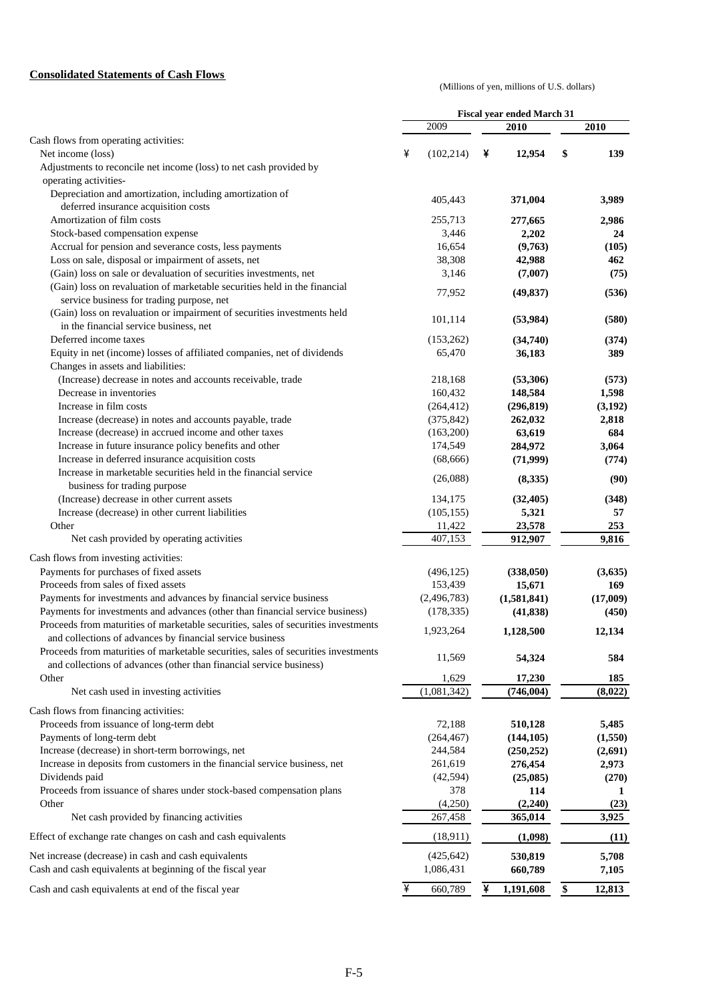## **Consolidated Statements of Cash Flows**

(Millions of yen, millions of U.S. dollars)

|                                                                                    |                 | <b>Fiscal year ended March 31</b> |              |  |  |
|------------------------------------------------------------------------------------|-----------------|-----------------------------------|--------------|--|--|
|                                                                                    | 2009            | 2010                              | 2010         |  |  |
| Cash flows from operating activities:                                              |                 |                                   |              |  |  |
| Net income (loss)                                                                  | ¥<br>(102, 214) | ¥<br>12,954                       | \$<br>139    |  |  |
| Adjustments to reconcile net income (loss) to net cash provided by                 |                 |                                   |              |  |  |
| operating activities-                                                              |                 |                                   |              |  |  |
| Depreciation and amortization, including amortization of                           |                 |                                   |              |  |  |
| deferred insurance acquisition costs                                               | 405,443         | 371,004                           | 3,989        |  |  |
| Amortization of film costs                                                         | 255,713         | 277,665                           | 2,986        |  |  |
| Stock-based compensation expense                                                   | 3,446           | 2,202                             | 24           |  |  |
| Accrual for pension and severance costs, less payments                             | 16,654          | (9,763)                           | (105)        |  |  |
| Loss on sale, disposal or impairment of assets, net                                | 38,308          | 42,988                            | 462          |  |  |
| (Gain) loss on sale or devaluation of securities investments, net                  | 3,146           | (7,007)                           | (75)         |  |  |
| (Gain) loss on revaluation of marketable securities held in the financial          |                 |                                   |              |  |  |
| service business for trading purpose, net                                          | 77,952          | (49, 837)                         | (536)        |  |  |
| (Gain) loss on revaluation or impairment of securities investments held            |                 |                                   |              |  |  |
| in the financial service business, net                                             | 101,114         | (53,984)                          | (580)        |  |  |
| Deferred income taxes                                                              | (153,262)       | (34,740)                          | (374)        |  |  |
| Equity in net (income) losses of affiliated companies, net of dividends            | 65,470          | 36,183                            | 389          |  |  |
| Changes in assets and liabilities:                                                 |                 |                                   |              |  |  |
| (Increase) decrease in notes and accounts receivable, trade                        | 218,168         | (53,306)                          |              |  |  |
| Decrease in inventories                                                            |                 |                                   | (573)        |  |  |
|                                                                                    | 160,432         | 148,584                           | 1,598        |  |  |
| Increase in film costs                                                             | (264, 412)      | (296, 819)                        | (3,192)      |  |  |
| Increase (decrease) in notes and accounts payable, trade                           | (375, 842)      | 262,032                           | 2,818        |  |  |
| Increase (decrease) in accrued income and other taxes                              | (163,200)       | 63,619                            | 684          |  |  |
| Increase in future insurance policy benefits and other                             | 174,549         | 284,972                           | 3,064        |  |  |
| Increase in deferred insurance acquisition costs                                   | (68, 666)       | (71,999)                          | (774)        |  |  |
| Increase in marketable securities held in the financial service                    | (26,088)        | (8,335)                           | (90)         |  |  |
| business for trading purpose<br>(Increase) decrease in other current assets        |                 |                                   |              |  |  |
|                                                                                    | 134,175         | (32, 405)                         | (348)        |  |  |
| Increase (decrease) in other current liabilities                                   | (105, 155)      | 5,321                             | 57           |  |  |
| Other                                                                              | 11,422          | 23,578                            | 253          |  |  |
| Net cash provided by operating activities                                          | 407,153         | 912,907                           | 9,816        |  |  |
| Cash flows from investing activities:                                              |                 |                                   |              |  |  |
| Payments for purchases of fixed assets                                             | (496, 125)      | (338,050)                         | (3,635)      |  |  |
| Proceeds from sales of fixed assets                                                | 153,439         | 15,671                            | 169          |  |  |
| Payments for investments and advances by financial service business                | (2,496,783)     | (1,581,841)                       | (17,009)     |  |  |
| Payments for investments and advances (other than financial service business)      | (178, 335)      | (41, 838)                         | (450)        |  |  |
| Proceeds from maturities of marketable securities, sales of securities investments |                 |                                   |              |  |  |
| and collections of advances by financial service business                          | 1,923,264       | 1,128,500                         | 12,134       |  |  |
| Proceeds from maturities of marketable securities, sales of securities investments |                 |                                   |              |  |  |
| and collections of advances (other than financial service business)                | 11,569          | 54,324                            | 584          |  |  |
| Other                                                                              | 1,629           | 17,230                            | 185          |  |  |
| Net cash used in investing activities                                              | (1,081,342)     | (746, 004)                        | (8,022)      |  |  |
|                                                                                    |                 |                                   |              |  |  |
| Cash flows from financing activities:                                              |                 |                                   |              |  |  |
| Proceeds from issuance of long-term debt                                           | 72,188          | 510,128                           | 5,485        |  |  |
| Payments of long-term debt                                                         | (264, 467)      | (144, 105)                        | (1,550)      |  |  |
| Increase (decrease) in short-term borrowings, net                                  | 244,584         | (250, 252)                        | (2,691)      |  |  |
| Increase in deposits from customers in the financial service business, net         | 261,619         | 276,454                           | 2,973        |  |  |
| Dividends paid                                                                     | (42, 594)       | (25,085)                          | (270)        |  |  |
| Proceeds from issuance of shares under stock-based compensation plans              | 378             | 114                               | 1            |  |  |
| Other                                                                              | (4,250)         | (2,240)                           | (23)         |  |  |
| Net cash provided by financing activities                                          | 267,458         | 365,014                           | 3,925        |  |  |
| Effect of exchange rate changes on cash and cash equivalents                       | (18, 911)       | (1,098)                           | (11)         |  |  |
|                                                                                    |                 |                                   |              |  |  |
| Net increase (decrease) in cash and cash equivalents                               | (425, 642)      | 530,819                           | 5,708        |  |  |
| Cash and cash equivalents at beginning of the fiscal year                          | 1,086,431       | 660,789                           | 7,105        |  |  |
| Cash and cash equivalents at end of the fiscal year                                | ¥<br>660,789    | ¥<br>1,191,608                    | \$<br>12,813 |  |  |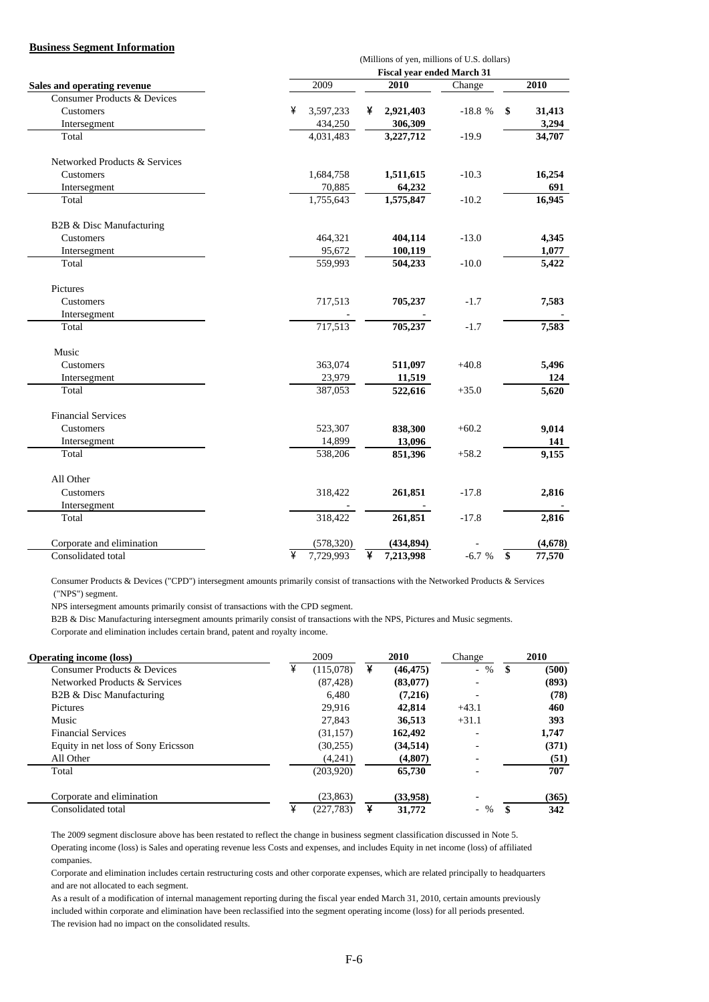## **Business Segment Information**

|                               | (Millions of yen, millions of U.S. dollars)<br><b>Fiscal year ended March 31</b> |                |          |              |  |  |  |  |  |  |  |  |
|-------------------------------|----------------------------------------------------------------------------------|----------------|----------|--------------|--|--|--|--|--|--|--|--|
| Sales and operating revenue   | 2009                                                                             | 2010           | Change   | 2010         |  |  |  |  |  |  |  |  |
| Consumer Products & Devices   |                                                                                  |                |          |              |  |  |  |  |  |  |  |  |
| Customers                     | 3,597,233<br>¥                                                                   | 2,921,403<br>¥ | $-18.8%$ | \$<br>31,413 |  |  |  |  |  |  |  |  |
| Intersegment                  | 434,250                                                                          | 306,309        |          | 3,294        |  |  |  |  |  |  |  |  |
| Total                         | 4,031,483                                                                        | 3,227,712      | $-19.9$  | 34,707       |  |  |  |  |  |  |  |  |
| Networked Products & Services |                                                                                  |                |          |              |  |  |  |  |  |  |  |  |
| Customers                     | 1,684,758                                                                        | 1,511,615      | $-10.3$  | 16,254       |  |  |  |  |  |  |  |  |
| Intersegment                  | 70,885                                                                           | 64,232         |          | 691          |  |  |  |  |  |  |  |  |
| Total                         | 1,755,643                                                                        | 1,575,847      | $-10.2$  | 16,945       |  |  |  |  |  |  |  |  |
| B2B & Disc Manufacturing      |                                                                                  |                |          |              |  |  |  |  |  |  |  |  |
| Customers                     | 464,321                                                                          | 404,114        | $-13.0$  | 4,345        |  |  |  |  |  |  |  |  |
| Intersegment                  | 95,672                                                                           | 100,119        |          | 1,077        |  |  |  |  |  |  |  |  |
| Total                         | 559,993                                                                          | 504,233        | $-10.0$  | 5,422        |  |  |  |  |  |  |  |  |
| Pictures                      |                                                                                  |                |          |              |  |  |  |  |  |  |  |  |
| Customers                     | 717,513                                                                          | 705,237        | $-1.7$   | 7,583        |  |  |  |  |  |  |  |  |
| Intersegment                  |                                                                                  |                |          |              |  |  |  |  |  |  |  |  |
| Total                         | 717,513                                                                          | 705,237        | $-1.7$   | 7,583        |  |  |  |  |  |  |  |  |
| Music                         |                                                                                  |                |          |              |  |  |  |  |  |  |  |  |
| Customers                     | 363,074                                                                          | 511,097        | $+40.8$  | 5,496        |  |  |  |  |  |  |  |  |
| Intersegment                  | 23,979                                                                           | 11,519         |          | 124          |  |  |  |  |  |  |  |  |
| Total                         | 387,053                                                                          | 522,616        | $+35.0$  | 5,620        |  |  |  |  |  |  |  |  |
| <b>Financial Services</b>     |                                                                                  |                |          |              |  |  |  |  |  |  |  |  |
| Customers                     | 523,307                                                                          | 838,300        | $+60.2$  | 9,014        |  |  |  |  |  |  |  |  |
| Intersegment                  | 14,899                                                                           | 13,096         |          | 141          |  |  |  |  |  |  |  |  |
| Total                         | 538,206                                                                          | 851,396        | $+58.2$  | 9,155        |  |  |  |  |  |  |  |  |
| All Other                     |                                                                                  |                |          |              |  |  |  |  |  |  |  |  |
| Customers                     | 318,422                                                                          | 261,851        | $-17.8$  | 2,816        |  |  |  |  |  |  |  |  |
| Intersegment                  |                                                                                  |                |          |              |  |  |  |  |  |  |  |  |
| Total                         | 318,422                                                                          | 261,851        | $-17.8$  | 2,816        |  |  |  |  |  |  |  |  |
| Corporate and elimination     | (578, 320)                                                                       | (434, 894)     |          | (4,678)      |  |  |  |  |  |  |  |  |
| Consolidated total            | ¥<br>7,729,993                                                                   | ¥<br>7,213,998 | $-6.7%$  | \$<br>77,570 |  |  |  |  |  |  |  |  |

Consumer Products & Devices ("CPD") intersegment amounts primarily consist of transactions with the Networked Products & Services ("NPS") segment.

NPS intersegment amounts primarily consist of transactions with the CPD segment.

B2B & Disc Manufacturing intersegment amounts primarily consist of transactions with the NPS, Pictures and Music segments.

Corporate and elimination includes certain brand, patent and royalty income.

| <b>Operating income (loss)</b>      |   | 2009      | 2010      | Change  | 2010        |
|-------------------------------------|---|-----------|-----------|---------|-------------|
| Consumer Products & Devices         | ¥ | (115,078) | (46, 475) | $-$ %   | \$<br>(500) |
| Networked Products & Services       |   | (87, 428) | (83,077)  |         | (893)       |
| B2B & Disc Manufacturing            |   | 6.480     | (7,216)   |         | (78)        |
| <b>Pictures</b>                     |   | 29.916    | 42,814    | $+43.1$ | 460         |
| Music                               |   | 27,843    | 36.513    | $+31.1$ | 393         |
| <b>Financial Services</b>           |   | (31, 157) | 162,492   |         | 1,747       |
| Equity in net loss of Sony Ericsson |   | (30, 255) | (34, 514) |         | (371)       |
| All Other                           |   | (4,241)   | (4,807)   |         | (51)        |
| Total                               |   | (203,920) | 65,730    |         | 707         |
| Corporate and elimination           |   | (23, 863) | (33,958)  |         | (365)       |
| Consolidated total                  | ¥ | (227.783) | 31,772    | $-$ %   | 342         |

The 2009 segment disclosure above has been restated to reflect the change in business segment classification discussed in Note 5. Operating income (loss) is Sales and operating revenue less Costs and expenses, and includes Equity in net income (loss) of affiliated companies.

Corporate and elimination includes certain restructuring costs and other corporate expenses, which are related principally to headquarters and are not allocated to each segment.

As a result of a modification of internal management reporting during the fiscal year ended March 31, 2010, certain amounts previously included within corporate and elimination have been reclassified into the segment operating income (loss) for all periods presented. The revision had no impact on the consolidated results.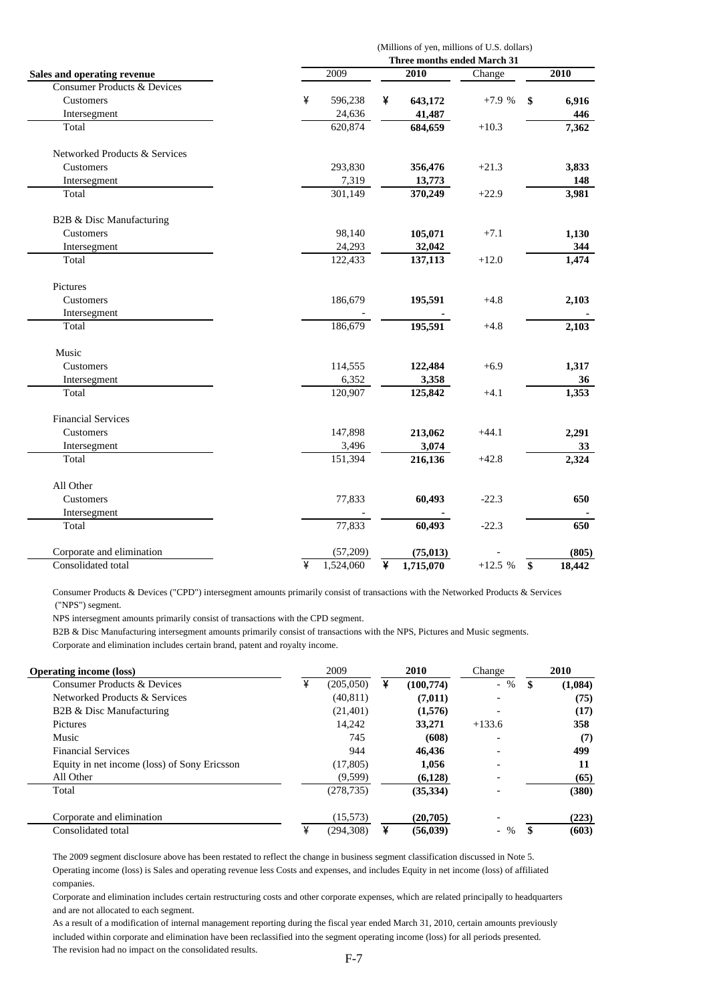|                               | Three months ended March 31 |           |   |           |          |                 |        |  |  |  |  |
|-------------------------------|-----------------------------|-----------|---|-----------|----------|-----------------|--------|--|--|--|--|
| Sales and operating revenue   |                             | 2009      |   | 2010      | Change   |                 | 2010   |  |  |  |  |
| Consumer Products & Devices   |                             |           |   |           |          |                 |        |  |  |  |  |
| Customers                     | ¥                           | 596,238   | ¥ | 643,172   | $+7.9%$  | \$              | 6,916  |  |  |  |  |
| Intersegment                  |                             | 24,636    |   | 41,487    |          |                 | 446    |  |  |  |  |
| Total                         |                             | 620,874   |   | 684,659   | $+10.3$  |                 | 7,362  |  |  |  |  |
| Networked Products & Services |                             |           |   |           |          |                 |        |  |  |  |  |
| Customers                     |                             | 293,830   |   | 356,476   | $+21.3$  |                 | 3,833  |  |  |  |  |
| Intersegment                  |                             | 7,319     |   | 13,773    |          |                 | 148    |  |  |  |  |
| Total                         |                             | 301,149   |   | 370,249   | $+22.9$  |                 | 3,981  |  |  |  |  |
| B2B & Disc Manufacturing      |                             |           |   |           |          |                 |        |  |  |  |  |
| <b>Customers</b>              |                             | 98,140    |   | 105,071   | $+7.1$   |                 | 1,130  |  |  |  |  |
| Intersegment                  |                             | 24,293    |   | 32,042    |          |                 | 344    |  |  |  |  |
| Total                         |                             | 122,433   |   | 137,113   | $+12.0$  |                 | 1,474  |  |  |  |  |
| Pictures                      |                             |           |   |           |          |                 |        |  |  |  |  |
| Customers                     |                             | 186,679   |   | 195,591   | $+4.8$   |                 | 2,103  |  |  |  |  |
| Intersegment                  |                             |           |   |           |          |                 |        |  |  |  |  |
| Total                         |                             | 186,679   |   | 195,591   | $+4.8$   |                 | 2,103  |  |  |  |  |
| Music                         |                             |           |   |           |          |                 |        |  |  |  |  |
| Customers                     |                             | 114,555   |   | 122,484   | $+6.9$   |                 | 1,317  |  |  |  |  |
| Intersegment                  |                             | 6,352     |   | 3,358     |          |                 | 36     |  |  |  |  |
| Total                         |                             | 120,907   |   | 125,842   | $+4.1$   |                 | 1,353  |  |  |  |  |
| <b>Financial Services</b>     |                             |           |   |           |          |                 |        |  |  |  |  |
| Customers                     |                             | 147,898   |   | 213,062   | $+44.1$  |                 | 2,291  |  |  |  |  |
| Intersegment                  |                             | 3,496     |   | 3,074     |          |                 | 33     |  |  |  |  |
| Total                         |                             | 151,394   |   | 216,136   | $+42.8$  |                 | 2,324  |  |  |  |  |
| All Other                     |                             |           |   |           |          |                 |        |  |  |  |  |
| Customers                     |                             | 77,833    |   | 60,493    | $-22.3$  |                 | 650    |  |  |  |  |
| Intersegment                  |                             |           |   |           |          |                 |        |  |  |  |  |
| Total                         |                             | 77,833    |   | 60,493    | $-22.3$  |                 | 650    |  |  |  |  |
| Corporate and elimination     |                             | (57,209)  |   | (75, 013) |          |                 | (805)  |  |  |  |  |
| Consolidated total            | ¥                           | 1,524,060 | ¥ | 1,715,070 | $+12.5%$ | $\overline{\$}$ | 18,442 |  |  |  |  |

(Millions of yen, millions of U.S. dollars)

Consumer Products & Devices ("CPD") intersegment amounts primarily consist of transactions with the Networked Products & Services ("NPS") segment.

NPS intersegment amounts primarily consist of transactions with the CPD segment.

B2B & Disc Manufacturing intersegment amounts primarily consist of transactions with the NPS, Pictures and Music segments.

Corporate and elimination includes certain brand, patent and royalty income.

| <b>Operating income (loss)</b>               |   | 2009       | 2010       | Change   | 2010    |
|----------------------------------------------|---|------------|------------|----------|---------|
| Consumer Products & Devices                  | ¥ | (205,050)  | (100, 774) | $-$ %    | (1,084) |
| Networked Products & Services                |   | (40.811)   | (7,011)    |          | (75)    |
| B2B & Disc Manufacturing                     |   | (21,401)   | (1,576)    |          | (17)    |
| <b>Pictures</b>                              |   | 14.242     | 33,271     | $+133.6$ | 358     |
| Music                                        |   | 745        | (608)      |          | (7)     |
| <b>Financial Services</b>                    |   | 944        | 46,436     |          | 499     |
| Equity in net income (loss) of Sony Ericsson |   | (17,805)   | 1.056      |          | 11      |
| All Other                                    |   | (9,599)    | (6,128)    |          | (65)    |
| Total                                        |   | (278, 735) | (35,334)   |          | (380)   |
| Corporate and elimination                    |   | (15,573)   | (20,705)   |          | (223)   |
| Consolidated total                           | ¥ | (294.308)  | (56, 039)  | $-$ %    | (603)   |

The 2009 segment disclosure above has been restated to reflect the change in business segment classification discussed in Note 5. Operating income (loss) is Sales and operating revenue less Costs and expenses, and includes Equity in net income (loss) of affiliated companies.

Corporate and elimination includes certain restructuring costs and other corporate expenses, which are related principally to headquarters and are not allocated to each segment.

As a result of a modification of internal management reporting during the fiscal year ended March 31, 2010, certain amounts previously included within corporate and elimination have been reclassified into the segment operating income (loss) for all periods presented. The revision had no impact on the consolidated results.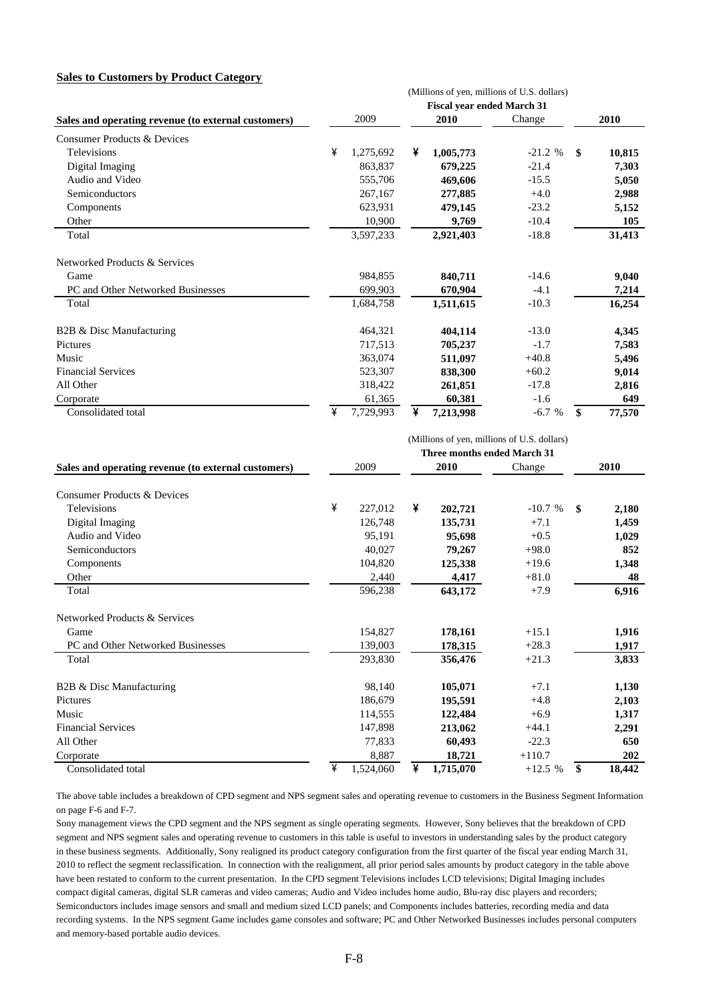### **Sales to Customers by Product Category**

|                                                     |   |           |   |                                   | (Millions of yen, millions of U.S. dollars) |              |
|-----------------------------------------------------|---|-----------|---|-----------------------------------|---------------------------------------------|--------------|
|                                                     |   |           |   | <b>Fiscal year ended March 31</b> |                                             |              |
| Sales and operating revenue (to external customers) |   | 2009      |   | 2010                              | Change                                      | 2010         |
| Consumer Products & Devices                         |   |           |   |                                   |                                             |              |
| Televisions                                         | ¥ | 1,275,692 | ¥ | 1,005,773                         | $-21.2%$                                    | \$<br>10,815 |
| Digital Imaging                                     |   | 863,837   |   | 679,225                           | $-21.4$                                     | 7,303        |
| Audio and Video                                     |   | 555,706   |   | 469,606                           | $-15.5$                                     | 5,050        |
| Semiconductors                                      |   | 267,167   |   | 277,885                           | $+4.0$                                      | 2,988        |
| Components                                          |   | 623,931   |   | 479,145                           | $-23.2$                                     | 5,152        |
| Other                                               |   | 10,900    |   | 9,769                             | $-10.4$                                     | 105          |
| Total                                               |   | 3,597,233 |   | 2,921,403                         | $-18.8$                                     | 31,413       |
| Networked Products & Services                       |   |           |   |                                   |                                             |              |
| Game                                                |   | 984,855   |   | 840,711                           | $-14.6$                                     | 9,040        |
| PC and Other Networked Businesses                   |   | 699,903   |   | 670,904                           | $-4.1$                                      | 7,214        |
| Total                                               |   | 1,684,758 |   | 1,511,615                         | $-10.3$                                     | 16,254       |
| B2B & Disc Manufacturing                            |   | 464,321   |   | 404,114                           | $-13.0$                                     | 4,345        |
| Pictures                                            |   | 717,513   |   | 705,237                           | $-1.7$                                      | 7,583        |
| Music                                               |   | 363,074   |   | 511,097                           | $+40.8$                                     | 5,496        |
| <b>Financial Services</b>                           |   | 523,307   |   | 838,300                           | $+60.2$                                     | 9,014        |
| All Other                                           |   | 318,422   |   | 261,851                           | $-17.8$                                     | 2,816        |
| Corporate                                           |   | 61,365    |   | 60,381                            | $-1.6$                                      | 649          |
| Consolidated total                                  | ¥ | 7,729,993 | ¥ | 7,213,998                         | $-6.7%$                                     | \$<br>77,570 |

(Millions of yen, millions of U.S. dollars)

|                                                     |   | Three months ended March 31 |      |           |          |    |        |  |  |  |  |
|-----------------------------------------------------|---|-----------------------------|------|-----------|----------|----|--------|--|--|--|--|
| Sales and operating revenue (to external customers) |   | 2009                        | 2010 |           | Change   |    | 2010   |  |  |  |  |
| Consumer Products & Devices                         |   |                             |      |           |          |    |        |  |  |  |  |
| Televisions                                         | ¥ | 227,012                     | ¥    | 202,721   | $-10.7%$ | \$ | 2,180  |  |  |  |  |
| Digital Imaging                                     |   | 126,748                     |      | 135,731   | $+7.1$   |    | 1,459  |  |  |  |  |
| Audio and Video                                     |   | 95,191                      |      | 95,698    | $+0.5$   |    | 1,029  |  |  |  |  |
| Semiconductors                                      |   | 40,027                      |      | 79,267    | $+98.0$  |    | 852    |  |  |  |  |
| Components                                          |   | 104,820                     |      | 125,338   | $+19.6$  |    | 1,348  |  |  |  |  |
| Other                                               |   | 2,440                       |      | 4,417     | $+81.0$  |    | 48     |  |  |  |  |
| Total                                               |   | 596,238                     |      | 643,172   | $+7.9$   |    | 6,916  |  |  |  |  |
| Networked Products & Services                       |   |                             |      |           |          |    |        |  |  |  |  |
| Game                                                |   | 154,827                     |      | 178,161   | $+15.1$  |    | 1,916  |  |  |  |  |
| PC and Other Networked Businesses                   |   | 139,003                     |      | 178,315   | $+28.3$  |    | 1,917  |  |  |  |  |
| Total                                               |   | 293,830                     |      | 356,476   | $+21.3$  |    | 3,833  |  |  |  |  |
| B2B & Disc Manufacturing                            |   | 98,140                      |      | 105,071   | $+7.1$   |    | 1,130  |  |  |  |  |
| Pictures                                            |   | 186,679                     |      | 195,591   | $+4.8$   |    | 2,103  |  |  |  |  |
| Music                                               |   | 114,555                     |      | 122,484   | $+6.9$   |    | 1,317  |  |  |  |  |
| <b>Financial Services</b>                           |   | 147,898                     |      | 213,062   | $+44.1$  |    | 2,291  |  |  |  |  |
| All Other                                           |   | 77,833                      |      | 60,493    | $-22.3$  |    | 650    |  |  |  |  |
| Corporate                                           |   | 8,887                       |      | 18,721    | $+110.7$ |    | 202    |  |  |  |  |
| Consolidated total                                  | ¥ | 1,524,060                   | ¥    | 1,715,070 | $+12.5%$ | \$ | 18,442 |  |  |  |  |

The above table includes a breakdown of CPD segment and NPS segment sales and operating revenue to customers in the Business Segment Information on page F-6 and F-7.

Sony management views the CPD segment and the NPS segment as single operating segments. However, Sony believes that the breakdown of CPD segment and NPS segment sales and operating revenue to customers in this table is useful to investors in understanding sales by the product category in these business segments. Additionally, Sony realigned its product category configuration from the first quarter of the fiscal year ending March 31, 2010 to reflect the segment reclassification. In connection with the realignment, all prior period sales amounts by product category in the table above have been restated to conform to the current presentation. In the CPD segment Televisions includes LCD televisions; Digital Imaging includes compact digital cameras, digital SLR cameras and video cameras; Audio and Video includes home audio, Blu-ray disc players and recorders; Semiconductors includes image sensors and small and medium sized LCD panels; and Components includes batteries, recording media and data recording systems. In the NPS segment Game includes game consoles and software; PC and Other Networked Businesses includes personal computers and memory-based portable audio devices.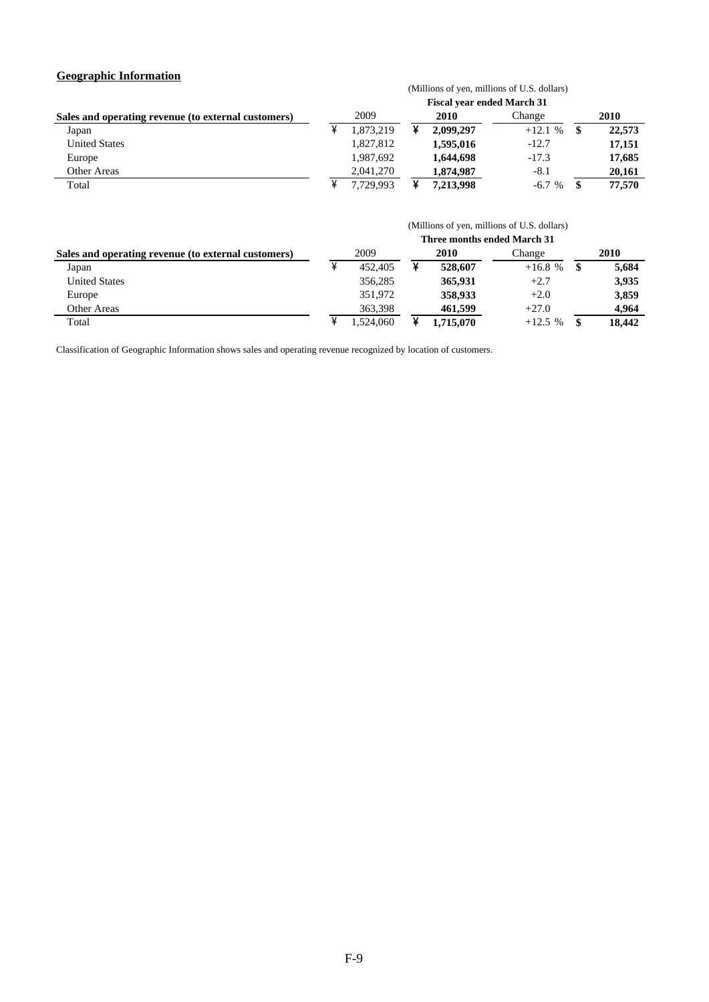## **Geographic Information**

|                                                     |           |                                   |           | (Millions of yen, millions of U.S. dollars) |      |        |
|-----------------------------------------------------|-----------|-----------------------------------|-----------|---------------------------------------------|------|--------|
| Sales and operating revenue (to external customers) |           | <b>Fiscal year ended March 31</b> |           |                                             |      |        |
|                                                     | 2009      | 2010                              |           | Change                                      | 2010 |        |
| Japan                                               | 1,873,219 |                                   | 2.099.297 | $+12.1%$                                    | \$   | 22,573 |
| <b>United States</b>                                | 1,827,812 |                                   | 1,595,016 | $-12.7$                                     |      | 17,151 |
| Europe                                              | 1.987.692 |                                   | 1,644,698 | $-17.3$                                     |      | 17,685 |
| Other Areas                                         | 2.041.270 |                                   | 1,874,987 | $-8.1$                                      |      | 20,161 |
| Total                                               | 7.729.993 |                                   | 7,213,998 | $-6.7%$                                     |      | 77.570 |

### (Millions of yen, millions of U.S. dollars)

|                                                     | Three months ended March 31 |          |  |                  |          |      |        |  |  |  |  |
|-----------------------------------------------------|-----------------------------|----------|--|------------------|----------|------|--------|--|--|--|--|
| Sales and operating revenue (to external customers) |                             | 2009     |  | 2010             | Change   | 2010 |        |  |  |  |  |
| Japan                                               |                             | 452,405  |  | 528,607          | $+16.8%$ | S    | 5.684  |  |  |  |  |
| <b>United States</b>                                |                             | 356,285  |  | 365,931          | $+2.7$   |      | 3,935  |  |  |  |  |
| Europe                                              |                             | 351.972  |  | 358,933          | $+2.0$   |      | 3,859  |  |  |  |  |
| Other Areas                                         |                             | 363.398  |  | 461,599          | $+27.0$  |      | 4.964  |  |  |  |  |
| Total                                               |                             | .524.060 |  | <b>1.715.070</b> | $+12.5%$ |      | 18.442 |  |  |  |  |

Classification of Geographic Information shows sales and operating revenue recognized by location of customers.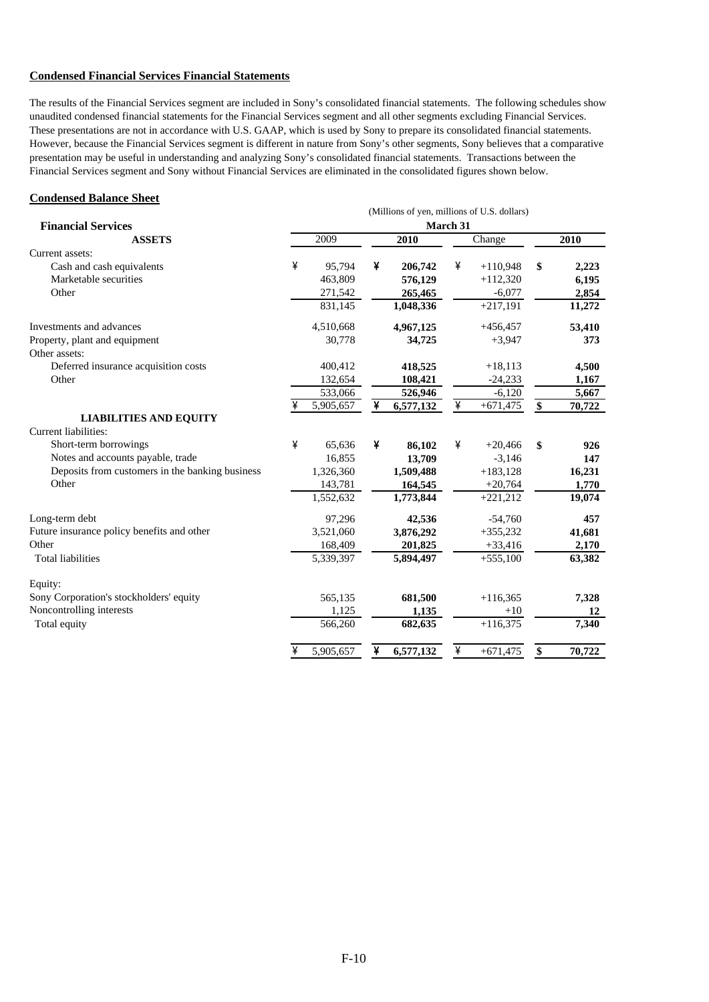## **Condensed Financial Services Financial Statements**

The results of the Financial Services segment are included in Sony's consolidated financial statements. The following schedules show unaudited condensed financial statements for the Financial Services segment and all other segments excluding Financial Services. These presentations are not in accordance with U.S. GAAP, which is used by Sony to prepare its consolidated financial statements. However, because the Financial Services segment is different in nature from Sony's other segments, Sony believes that a comparative presentation may be useful in understanding and analyzing Sony's consolidated financial statements. Transactions between the Financial Services segment and Sony without Financial Services are eliminated in the consolidated figures shown below.

## **Condensed Balance Sheet**

| onachbea Dunnee Bheet                           |   |           |   |           |                | (Millions of yen, millions of U.S. dollars) |              |
|-------------------------------------------------|---|-----------|---|-----------|----------------|---------------------------------------------|--------------|
| <b>Financial Services</b>                       |   |           |   | March 31  |                |                                             |              |
| <b>ASSETS</b>                                   |   | 2009      |   | 2010      |                | Change                                      | 2010         |
| Current assets:                                 |   |           |   |           |                |                                             |              |
| Cash and cash equivalents                       | ¥ | 95,794    | ¥ | 206,742   | ¥              | $+110,948$                                  | \$<br>2,223  |
| Marketable securities                           |   | 463,809   |   | 576,129   |                | $+112,320$                                  | 6,195        |
| Other                                           |   | 271,542   |   | 265,465   |                | $-6,077$                                    | 2,854        |
|                                                 |   | 831,145   |   | 1,048,336 |                | $+217,191$                                  | 11,272       |
| Investments and advances                        |   | 4,510,668 |   | 4,967,125 |                | $+456,457$                                  | 53,410       |
| Property, plant and equipment                   |   | 30,778    |   | 34,725    |                | $+3,947$                                    | 373          |
| Other assets:                                   |   |           |   |           |                |                                             |              |
| Deferred insurance acquisition costs            |   | 400,412   |   | 418,525   |                | $+18,113$                                   | 4,500        |
| Other                                           |   | 132,654   |   | 108,421   |                | $-24,233$                                   | 1,167        |
|                                                 |   | 533,066   |   | 526,946   |                | $-6,120$                                    | 5,667        |
|                                                 |   | 5,905,657 | ¥ | 6,577,132 | $\overline{4}$ | $+671,475$                                  | \$<br>70,722 |
| <b>LIABILITIES AND EQUITY</b>                   |   |           |   |           |                |                                             |              |
| Current liabilities:                            |   |           |   |           |                |                                             |              |
| Short-term borrowings                           | ¥ | 65,636    | ¥ | 86,102    | ¥              | $+20,466$                                   | \$<br>926    |
| Notes and accounts payable, trade               |   | 16,855    |   | 13,709    |                | $-3,146$                                    | 147          |
| Deposits from customers in the banking business |   | 1,326,360 |   | 1,509,488 |                | $+183,128$                                  | 16,231       |
| Other                                           |   | 143,781   |   | 164,545   |                | $+20,764$                                   | 1,770        |
|                                                 |   | 1,552,632 |   | 1,773,844 |                | $+221,212$                                  | 19,074       |
| Long-term debt                                  |   | 97,296    |   | 42,536    |                | $-54,760$                                   | 457          |
| Future insurance policy benefits and other      |   | 3,521,060 |   | 3,876,292 |                | $+355,232$                                  | 41,681       |
| Other                                           |   | 168,409   |   | 201,825   |                | $+33,416$                                   | 2,170        |
| <b>Total liabilities</b>                        |   | 5,339,397 |   | 5,894,497 |                | $+555,100$                                  | 63,382       |
| Equity:                                         |   |           |   |           |                |                                             |              |
| Sony Corporation's stockholders' equity         |   | 565,135   |   | 681,500   |                | $+116,365$                                  | 7,328        |
| Noncontrolling interests                        |   | 1,125     |   | 1,135     |                | $+10$                                       | 12           |
| Total equity                                    |   | 566,260   |   | 682,635   |                | $+116,375$                                  | 7,340        |
|                                                 | ¥ | 5,905,657 | ¥ | 6,577,132 | ¥              | $+671,475$                                  | \$<br>70.722 |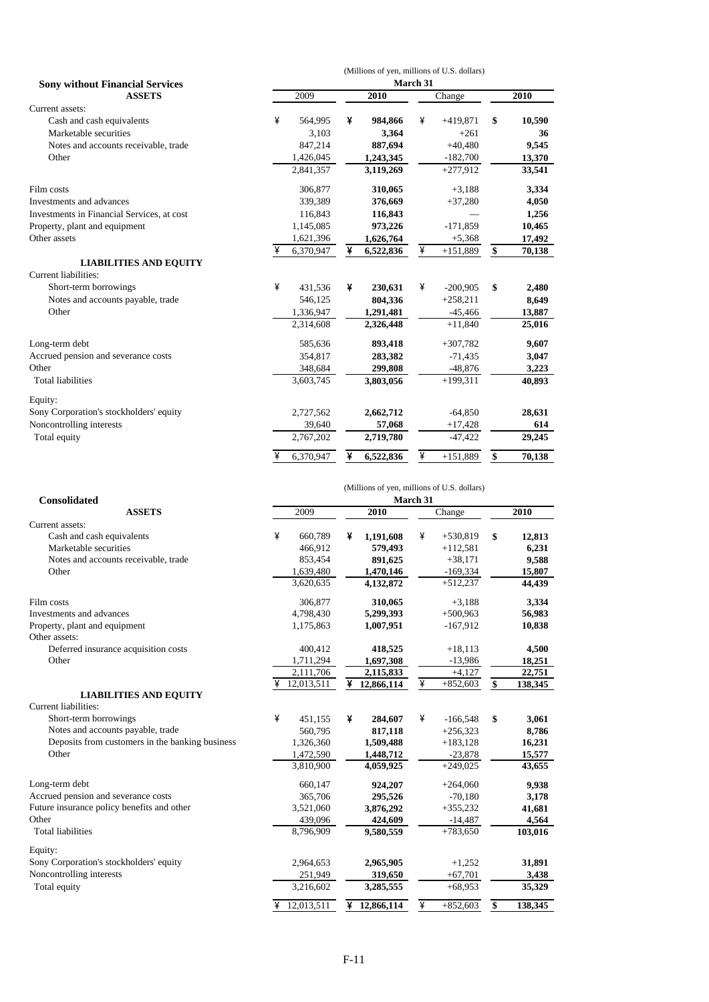|                                            | (Millions of yen, millions of U.S. dollars) |           |   |           |          |            |    |        |  |  |  |
|--------------------------------------------|---------------------------------------------|-----------|---|-----------|----------|------------|----|--------|--|--|--|
| <b>Sony without Financial Services</b>     |                                             |           |   |           | March 31 |            |    |        |  |  |  |
| <b>ASSETS</b>                              |                                             | 2009      |   | 2010      |          | Change     |    | 2010   |  |  |  |
| Current assets:                            |                                             |           |   |           |          |            |    |        |  |  |  |
| Cash and cash equivalents                  | ¥                                           | 564,995   | ¥ | 984,866   | ¥        | $+419.871$ | \$ | 10,590 |  |  |  |
| Marketable securities                      |                                             | 3,103     |   | 3,364     |          | $+261$     |    | 36     |  |  |  |
| Notes and accounts receivable, trade       |                                             | 847,214   |   | 887,694   |          | $+40,480$  |    | 9,545  |  |  |  |
| Other                                      |                                             | 1,426,045 |   | 1,243,345 |          | $-182,700$ |    | 13,370 |  |  |  |
|                                            |                                             | 2,841,357 |   | 3,119,269 |          | $+277,912$ |    | 33,541 |  |  |  |
| Film costs                                 |                                             | 306,877   |   | 310,065   |          | $+3,188$   |    | 3,334  |  |  |  |
| Investments and advances                   |                                             | 339,389   |   | 376,669   |          | $+37,280$  |    | 4,050  |  |  |  |
| Investments in Financial Services, at cost |                                             | 116,843   |   | 116,843   |          |            |    | 1,256  |  |  |  |
| Property, plant and equipment              |                                             | 1,145,085 |   | 973,226   |          | $-171,859$ |    | 10,465 |  |  |  |
| Other assets                               |                                             | 1,621,396 |   | 1,626,764 |          | $+5,368$   |    | 17,492 |  |  |  |
|                                            | ¥                                           | 6,370,947 | ¥ | 6,522,836 | ¥        | $+151,889$ | \$ | 70,138 |  |  |  |
| <b>LIABILITIES AND EQUITY</b>              |                                             |           |   |           |          |            |    |        |  |  |  |
| Current liabilities:                       |                                             |           |   |           |          |            |    |        |  |  |  |
| Short-term borrowings                      | ¥                                           | 431,536   | ¥ | 230,631   | ¥        | $-200,905$ | \$ | 2,480  |  |  |  |
| Notes and accounts payable, trade          |                                             | 546,125   |   | 804,336   |          | $+258.211$ |    | 8,649  |  |  |  |
| Other                                      |                                             | 1,336,947 |   | 1,291,481 |          | $-45,466$  |    | 13,887 |  |  |  |
|                                            |                                             | 2,314,608 |   | 2,326,448 |          | $+11,840$  |    | 25,016 |  |  |  |
| Long-term debt                             |                                             | 585,636   |   | 893,418   |          | $+307,782$ |    | 9,607  |  |  |  |
| Accrued pension and severance costs        |                                             | 354,817   |   | 283,382   |          | $-71,435$  |    | 3,047  |  |  |  |
| Other                                      |                                             | 348,684   |   | 299,808   |          | $-48,876$  |    | 3,223  |  |  |  |
| <b>Total liabilities</b>                   |                                             | 3,603,745 |   | 3,803,056 |          | $+199,311$ |    | 40,893 |  |  |  |
| Equity:                                    |                                             |           |   |           |          |            |    |        |  |  |  |
| Sony Corporation's stockholders' equity    |                                             | 2,727,562 |   | 2,662,712 |          | $-64,850$  |    | 28,631 |  |  |  |
| Noncontrolling interests                   |                                             | 39,640    |   | 57,068    |          | $+17,428$  |    | 614    |  |  |  |
| Total equity                               |                                             | 2,767,202 |   | 2,719,780 |          | $-47,422$  |    | 29,245 |  |  |  |
|                                            | ¥                                           | 6,370,947 | ¥ | 6,522,836 | ¥        | $+151,889$ | \$ | 70,138 |  |  |  |

(Millions of yen, millions of U.S. dollars)

| <b>Consolidated</b>                             | March 31 |            |   |            |   |            |    |         |  |  |  |  |
|-------------------------------------------------|----------|------------|---|------------|---|------------|----|---------|--|--|--|--|
| <b>ASSETS</b>                                   |          | 2009       |   | 2010       |   | Change     |    | 2010    |  |  |  |  |
| Current assets:                                 |          |            |   |            |   |            |    |         |  |  |  |  |
| Cash and cash equivalents                       | ¥        | 660,789    | ¥ | 1,191,608  | ¥ | $+530,819$ | \$ | 12,813  |  |  |  |  |
| Marketable securities                           |          | 466,912    |   | 579,493    |   | $+112,581$ |    | 6,231   |  |  |  |  |
| Notes and accounts receivable, trade            |          | 853,454    |   | 891,625    |   | $+38,171$  |    | 9,588   |  |  |  |  |
| Other                                           |          | 1,639,480  |   | 1,470,146  |   | $-169,334$ |    | 15,807  |  |  |  |  |
|                                                 |          | 3,620,635  |   | 4,132,872  |   | $+512,237$ |    | 44,439  |  |  |  |  |
| Film costs                                      |          | 306,877    |   | 310,065    |   | $+3,188$   |    | 3,334   |  |  |  |  |
| Investments and advances                        |          | 4,798,430  |   | 5,299,393  |   | $+500,963$ |    | 56,983  |  |  |  |  |
| Property, plant and equipment                   |          | 1,175,863  |   | 1,007,951  |   | $-167,912$ |    | 10,838  |  |  |  |  |
| Other assets:                                   |          |            |   |            |   |            |    |         |  |  |  |  |
| Deferred insurance acquisition costs            |          | 400,412    |   | 418,525    |   | $+18,113$  |    | 4,500   |  |  |  |  |
| Other                                           |          | 1,711,294  |   | 1,697,308  |   | $-13,986$  |    | 18,251  |  |  |  |  |
|                                                 |          | 2,111,706  |   | 2,115,833  |   | $+4,127$   |    | 22,751  |  |  |  |  |
|                                                 | ¥        | 12,013,511 |   | 12,866,114 | ¥ | $+852,603$ | \$ | 138,345 |  |  |  |  |
| <b>LIABILITIES AND EQUITY</b>                   |          |            |   |            |   |            |    |         |  |  |  |  |
| Current liabilities:                            |          |            |   |            |   |            |    |         |  |  |  |  |
| Short-term borrowings                           | ¥        | 451,155    | ¥ | 284,607    | ¥ | $-166,548$ | \$ | 3,061   |  |  |  |  |
| Notes and accounts payable, trade               |          | 560,795    |   | 817,118    |   | $+256,323$ |    | 8,786   |  |  |  |  |
| Deposits from customers in the banking business |          | 1,326,360  |   | 1,509,488  |   | $+183,128$ |    | 16,231  |  |  |  |  |
| Other                                           |          | 1,472,590  |   | 1,448,712  |   | $-23,878$  |    | 15,577  |  |  |  |  |
|                                                 |          | 3,810,900  |   | 4,059,925  |   | $+249,025$ |    | 43,655  |  |  |  |  |
| Long-term debt                                  |          | 660,147    |   | 924,207    |   | $+264,060$ |    | 9,938   |  |  |  |  |
| Accrued pension and severance costs             |          | 365,706    |   | 295,526    |   | $-70,180$  |    | 3,178   |  |  |  |  |
| Future insurance policy benefits and other      |          | 3,521,060  |   | 3,876,292  |   | $+355,232$ |    | 41,681  |  |  |  |  |
| Other                                           |          | 439,096    |   | 424,609    |   | $-14,487$  |    | 4,564   |  |  |  |  |
| <b>Total liabilities</b>                        |          | 8,796,909  |   | 9,580,559  |   | $+783,650$ |    | 103,016 |  |  |  |  |
| Equity:                                         |          |            |   |            |   |            |    |         |  |  |  |  |
| Sony Corporation's stockholders' equity         |          | 2,964,653  |   | 2,965,905  |   | $+1,252$   |    | 31,891  |  |  |  |  |
| Noncontrolling interests                        |          | 251,949    |   | 319,650    |   | $+67,701$  |    | 3,438   |  |  |  |  |
| Total equity                                    |          | 3,216,602  |   | 3,285,555  |   | $+68,953$  |    | 35,329  |  |  |  |  |
|                                                 |          | 12,013,511 | ¥ | 12,866,114 | ¥ | $+852,603$ | \$ | 138,345 |  |  |  |  |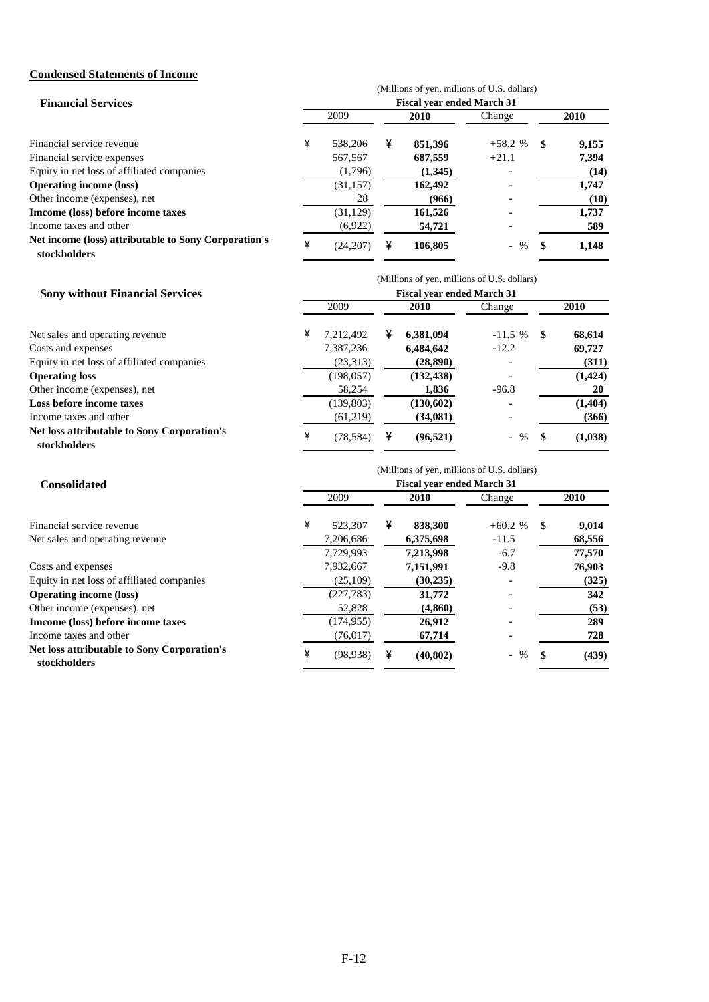## **Condensed Statements of Income**

|                                                                      |                                   |           |   |         | (Millions of yen, millions of U.S. dollars) |    |             |  |  |  |
|----------------------------------------------------------------------|-----------------------------------|-----------|---|---------|---------------------------------------------|----|-------------|--|--|--|
| <b>Financial Services</b>                                            | <b>Fiscal year ended March 31</b> |           |   |         |                                             |    |             |  |  |  |
|                                                                      |                                   | 2009      |   | 2010    | Change                                      |    | <b>2010</b> |  |  |  |
| Financial service revenue                                            | ¥                                 | 538,206   | ¥ | 851,396 | $+58.2%$                                    | \$ | 9,155       |  |  |  |
| Financial service expenses                                           |                                   | 567.567   |   | 687,559 | $+21.1$                                     |    | 7,394       |  |  |  |
| Equity in net loss of affiliated companies                           |                                   | (1,796)   |   | (1,345) |                                             |    | (14)        |  |  |  |
| <b>Operating income (loss)</b>                                       |                                   | (31, 157) |   | 162,492 |                                             |    | 1.747       |  |  |  |
| Other income (expenses), net                                         |                                   | 28        |   | (966)   |                                             |    | (10)        |  |  |  |
| Imcome (loss) before income taxes                                    |                                   | (31, 129) |   | 161,526 |                                             |    | 1,737       |  |  |  |
| Income taxes and other                                               |                                   | (6,922)   |   | 54,721  |                                             |    | 589         |  |  |  |
| Net income (loss) attributable to Sony Corporation's<br>stockholders | ¥                                 | (24,207)  | ¥ | 106,805 | $-$ %                                       | S  | 1,148       |  |  |  |

|                                                             | (Millions of yen, millions of U.S. dollars)<br><b>Fiscal year ended March 31</b> |            |   |            |                                  |     |           |  |  |  |
|-------------------------------------------------------------|----------------------------------------------------------------------------------|------------|---|------------|----------------------------------|-----|-----------|--|--|--|
| <b>Sony without Financial Services</b>                      |                                                                                  |            |   |            |                                  |     |           |  |  |  |
|                                                             |                                                                                  | 2009       |   | 2010       | Change                           |     | 2010      |  |  |  |
| Net sales and operating revenue.                            | ¥                                                                                | 7.212.492  | ¥ | 6,381,094  | $-11.5%$                         | -SS | 68,614    |  |  |  |
| Costs and expenses                                          |                                                                                  | 7.387.236  |   | 6,484,642  | $-12.2$                          |     | 69,727    |  |  |  |
| Equity in net loss of affiliated companies                  |                                                                                  | (23,313)   |   | (28, 890)  |                                  |     | (311)     |  |  |  |
| <b>Operating loss</b>                                       |                                                                                  | (198, 057) |   | (132, 438) |                                  |     | (1,424)   |  |  |  |
| Other income (expenses), net                                |                                                                                  | 58,254     |   | 1,836      | $-96.8$                          |     | <b>20</b> |  |  |  |
| Loss before income taxes                                    |                                                                                  | (139, 803) |   | (130,602)  |                                  |     | (1, 404)  |  |  |  |
| Income taxes and other                                      |                                                                                  | (61,219)   |   | (34,081)   |                                  |     | (366)     |  |  |  |
| Net loss attributable to Sony Corporation's<br>stockholders | ¥                                                                                | (78, 584)  | ¥ | (96, 521)  | $\%$<br>$\overline{\phantom{0}}$ | S   | (1,038)   |  |  |  |

|                                                                    | (Millions of yen, millions of U.S. dollars) |            |   |                                   |           |    |             |  |  |
|--------------------------------------------------------------------|---------------------------------------------|------------|---|-----------------------------------|-----------|----|-------------|--|--|
| <b>Consolidated</b>                                                |                                             |            |   | <b>Fiscal year ended March 31</b> |           |    |             |  |  |
|                                                                    |                                             | 2009       |   | 2010                              | Change    |    | <b>2010</b> |  |  |
| Financial service revenue                                          | ¥                                           | 523,307    | ¥ | 838.300                           | $+60.2 %$ | -S | 9,014       |  |  |
| Net sales and operating revenue.                                   |                                             | 7,206,686  |   | 6,375,698                         | $-11.5$   |    | 68,556      |  |  |
|                                                                    |                                             | 7,729,993  |   | 7,213,998                         | $-6.7$    |    | 77,570      |  |  |
| Costs and expenses                                                 |                                             | 7,932,667  |   | 7,151,991                         | $-9.8$    |    | 76,903      |  |  |
| Equity in net loss of affiliated companies                         |                                             | (25,109)   |   | (30, 235)                         |           |    | (325)       |  |  |
| <b>Operating income (loss)</b>                                     |                                             | (227, 783) |   | 31,772                            |           |    | 342         |  |  |
| Other income (expenses), net                                       |                                             | 52,828     |   | (4,860)                           |           |    | (53)        |  |  |
| Imcome (loss) before income taxes                                  |                                             | (174, 955) |   | 26,912                            |           |    | 289         |  |  |
| Income taxes and other                                             |                                             | (76, 017)  |   | 67,714                            |           |    | 728         |  |  |
| <b>Net loss attributable to Sony Corporation's</b><br>stockholders | ¥                                           | (98, 938)  | ¥ | (40, 802)                         | $-$ %     | -S | (439)       |  |  |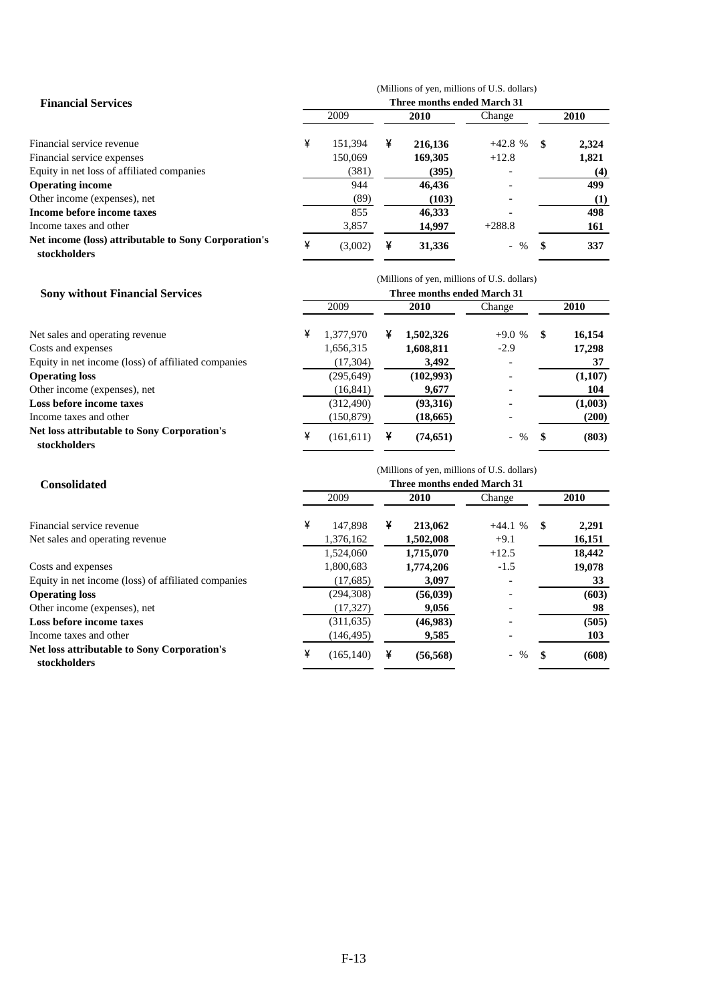| <b>Financial Services</b>                                            | (Millions of yen, millions of U.S. dollars)<br>Three months ended March 31 |         |   |         |          |      |       |  |  |  |
|----------------------------------------------------------------------|----------------------------------------------------------------------------|---------|---|---------|----------|------|-------|--|--|--|
|                                                                      |                                                                            | 2009    |   | 2010    | Change   |      | 2010  |  |  |  |
| Financial service revenue                                            | ¥                                                                          | 151.394 | ¥ | 216,136 | $+42.8%$ | S    | 2.324 |  |  |  |
| Financial service expenses                                           |                                                                            | 150,069 |   | 169,305 | $+12.8$  |      | 1,821 |  |  |  |
| Equity in net loss of affiliated companies                           |                                                                            | (381)   |   | (395)   |          |      | (4)   |  |  |  |
| <b>Operating income</b>                                              |                                                                            | 944     |   | 46,436  |          |      | 499   |  |  |  |
| Other income (expenses), net                                         |                                                                            | (89)    |   | (103)   |          |      | (1)   |  |  |  |
| Income before income taxes                                           |                                                                            | 855     |   | 46,333  |          |      | 498   |  |  |  |
| Income taxes and other                                               |                                                                            | 3,857   |   | 14,997  | $+288.8$ |      | 161   |  |  |  |
| Net income (loss) attributable to Sony Corporation's<br>stockholders | ¥                                                                          | (3,002) | ¥ | 31,336  | $-$ %    | - \$ | 337   |  |  |  |

|                                                             | (Millions of yen, millions of U.S. dollars)<br>Three months ended March 31 |            |   |           |                          |      |         |  |  |  |
|-------------------------------------------------------------|----------------------------------------------------------------------------|------------|---|-----------|--------------------------|------|---------|--|--|--|
| <b>Sony without Financial Services</b>                      |                                                                            |            |   |           |                          |      |         |  |  |  |
|                                                             |                                                                            | 2009       |   | 2010      | Change                   |      | 2010    |  |  |  |
| Net sales and operating revenue                             | ¥                                                                          | 1.377.970  | ¥ | 1,502,326 | $+9.0%$                  | S    | 16,154  |  |  |  |
| Costs and expenses                                          |                                                                            | 1,656,315  |   | 1,608,811 | $-2.9$                   |      | 17,298  |  |  |  |
| Equity in net income (loss) of affiliated companies         |                                                                            | (17, 304)  |   | 3,492     | $\overline{\phantom{0}}$ |      | 37      |  |  |  |
| <b>Operating loss</b>                                       |                                                                            | (295, 649) |   | (102,993) |                          |      | (1,107) |  |  |  |
| Other income (expenses), net                                |                                                                            | (16, 841)  |   | 9,677     |                          |      | 104     |  |  |  |
| Loss before income taxes                                    |                                                                            | (312, 490) |   | (93,316)  |                          |      | (1,003) |  |  |  |
| Income taxes and other                                      |                                                                            | (150, 879) |   | (18, 665) |                          |      | (200)   |  |  |  |
| Net loss attributable to Sony Corporation's<br>stockholders | ¥                                                                          | (161, 611) | ¥ | (74, 651) | $-$ %                    | - \$ | (803)   |  |  |  |

|                                                             | (Millions of yen, millions of U.S. dollars)<br>Three months ended March 31 |            |   |           |                |     |             |  |  |  |
|-------------------------------------------------------------|----------------------------------------------------------------------------|------------|---|-----------|----------------|-----|-------------|--|--|--|
| <b>Consolidated</b>                                         |                                                                            |            |   |           |                |     |             |  |  |  |
|                                                             |                                                                            | 2009       |   | 2010      | Change         |     | <b>2010</b> |  |  |  |
| Financial service revenue                                   | ¥                                                                          | 147,898    | ¥ | 213,062   | $+44.1%$       | -\$ | 2,291       |  |  |  |
| Net sales and operating revenue.                            |                                                                            | 1,376,162  |   | 1,502,008 | $+9.1$         |     | 16,151      |  |  |  |
|                                                             |                                                                            | 1,524,060  |   | 1,715,070 | $+12.5$        |     | 18,442      |  |  |  |
| Costs and expenses                                          |                                                                            | 1,800,683  |   | 1,774,206 | $-1.5$         |     | 19,078      |  |  |  |
| Equity in net income (loss) of affiliated companies         |                                                                            | (17,685)   |   | 3,097     |                |     | 33          |  |  |  |
| <b>Operating loss</b>                                       |                                                                            | (294, 308) |   | (56, 039) |                |     | (603)       |  |  |  |
| Other income (expenses), net                                |                                                                            | (17, 327)  |   | 9,056     |                |     | 98          |  |  |  |
| Loss before income taxes                                    |                                                                            | (311, 635) |   | (46,983)  |                |     | (505)       |  |  |  |
| Income taxes and other                                      |                                                                            | (146, 495) |   | 9,585     |                |     | 103         |  |  |  |
| Net loss attributable to Sony Corporation's<br>stockholders | ¥                                                                          | (165, 140) | ¥ | (56, 568) | $\%$<br>$\sim$ | S   | (608)       |  |  |  |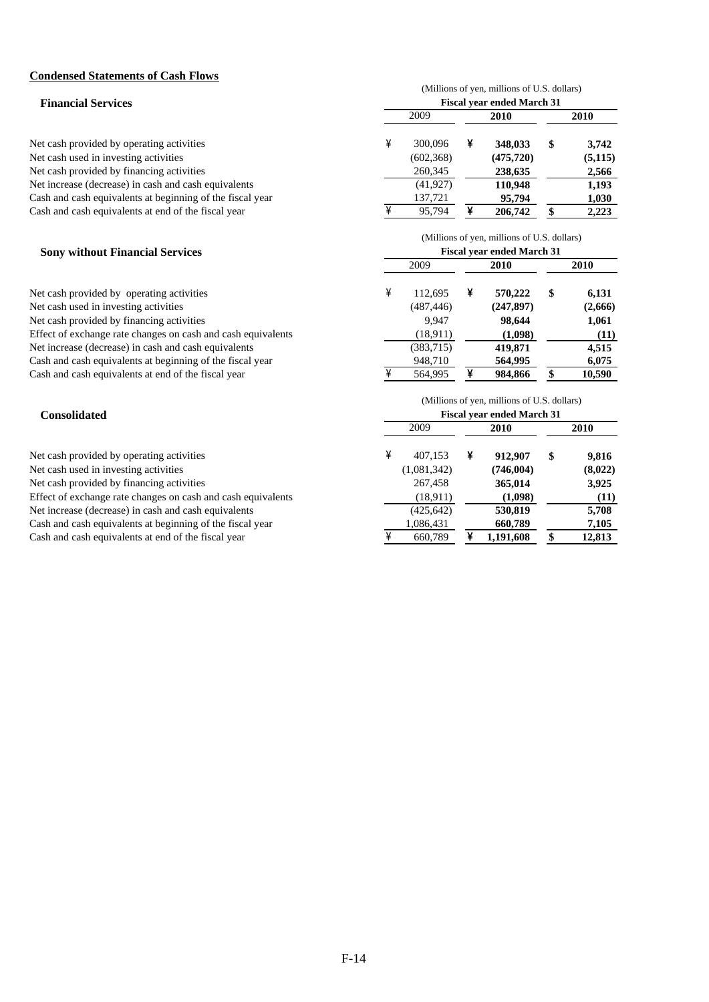## **Condensed Statements of Cash Flows**

| <b>Financial Services</b>                                    | (Millions of yen, millions of U.S. dollars)<br><b>Fiscal year ended March 31</b> |            |      |                                             |      |          |  |  |
|--------------------------------------------------------------|----------------------------------------------------------------------------------|------------|------|---------------------------------------------|------|----------|--|--|
|                                                              |                                                                                  |            | 2010 | 2010                                        |      |          |  |  |
| Net cash provided by operating activities                    | ¥                                                                                | 300,096    | ¥    | 348,033                                     | \$   | 3,742    |  |  |
| Net cash used in investing activities                        |                                                                                  | (602, 368) |      | (475, 720)                                  |      | (5, 115) |  |  |
| Net cash provided by financing activities                    |                                                                                  | 260,345    |      | 238,635                                     |      | 2,566    |  |  |
| Net increase (decrease) in cash and cash equivalents         |                                                                                  | (41, 927)  |      | 110,948                                     |      | 1,193    |  |  |
| Cash and cash equivalents at beginning of the fiscal year    |                                                                                  | 137,721    |      | 95,794                                      |      | 1,030    |  |  |
| Cash and cash equivalents at end of the fiscal year          | ¥                                                                                | 95,794     | ¥    | 206,742                                     | \$   | 2,223    |  |  |
| <b>Sony without Financial Services</b>                       | (Millions of yen, millions of U.S. dollars)<br><b>Fiscal year ended March 31</b> |            |      |                                             |      |          |  |  |
|                                                              |                                                                                  | 2009       |      | 2010                                        | 2010 |          |  |  |
|                                                              |                                                                                  |            |      |                                             |      |          |  |  |
| Net cash provided by operating activities                    | ¥                                                                                | 112,695    | ¥    | 570,222                                     | \$   | 6,131    |  |  |
| Net cash used in investing activities                        |                                                                                  | (487, 446) |      | (247, 897)                                  |      | (2,666)  |  |  |
| Net cash provided by financing activities                    |                                                                                  | 9,947      |      | 98,644                                      |      | 1,061    |  |  |
| Effect of exchange rate changes on cash and cash equivalents |                                                                                  | (18,911)   |      | (1,098)                                     |      | (11)     |  |  |
| Net increase (decrease) in cash and cash equivalents         |                                                                                  | (383, 715) |      | 419,871                                     |      | 4,515    |  |  |
| Cash and cash equivalents at beginning of the fiscal year    |                                                                                  | 948,710    |      | 564,995                                     |      | 6,075    |  |  |
| Cash and cash equivalents at end of the fiscal year          | ¥                                                                                | 564,995    | ¥    | 984,866                                     | \$   | 10,590   |  |  |
|                                                              |                                                                                  |            |      | (Millions of yen, millions of U.S. dollars) |      |          |  |  |
| <b>Consolidated</b>                                          | <b>Fiscal year ended March 31</b>                                                |            |      |                                             |      |          |  |  |
|                                                              |                                                                                  | 2009       | 2010 |                                             | 2010 |          |  |  |
| Net cash provided by operating activities                    | ¥                                                                                | 407,153    | ¥    | 912,907                                     | \$   | 9,816    |  |  |

Net cash used in investing activities (1,081,342) **(8,022) (746,004)**  Net cash provided by financing activities 267,458 **3,925 365,014**  Effect of exchange rate changes on cash and cash equivalents (18,911) (1,098) (11) Net increase (decrease) in cash and cash equivalents (425,642) **530,819 5,708** Cash and cash equivalents at beginning of the fiscal year 1,086,431 **660,789 7,105** Cash and cash equivalents at end of the fiscal year  $\overline{4}$   $\overline{660,789}$   $\overline{4}$  1,191,608  $\overline{8}$  12,813

F-14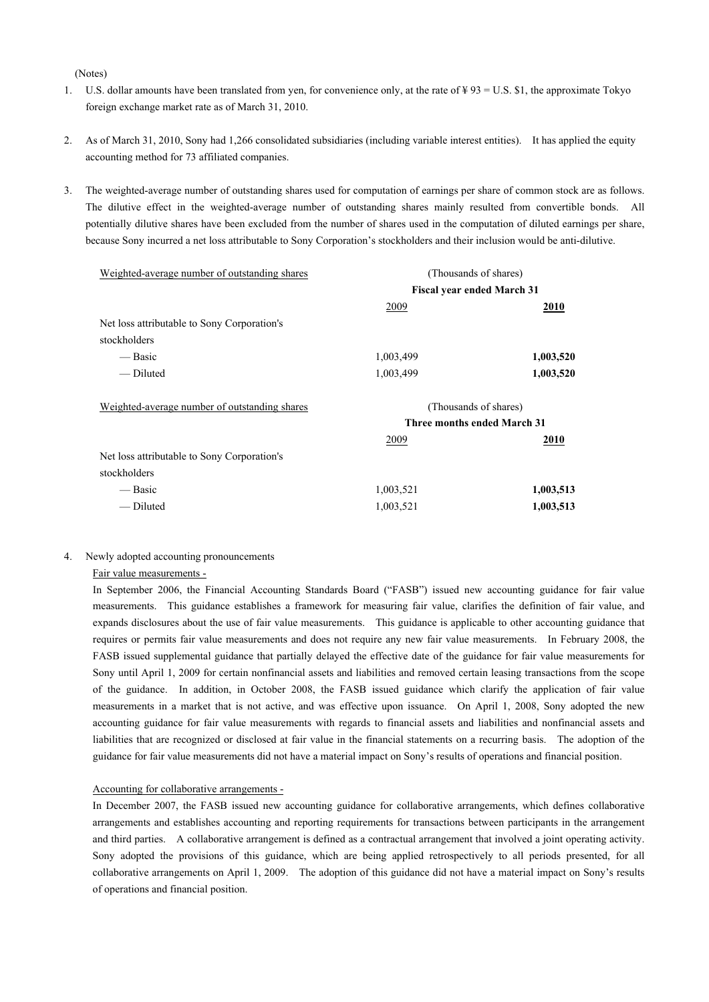(Notes)

- 1. U.S. dollar amounts have been translated from yen, for convenience only, at the rate of  $\frac{1}{2}93 = U.S.$  \$1, the approximate Tokyo foreign exchange market rate as of March 31, 2010.
- 2. As of March 31, 2010, Sony had 1,266 consolidated subsidiaries (including variable interest entities). It has applied the equity accounting method for 73 affiliated companies.
- 3. The weighted-average number of outstanding shares used for computation of earnings per share of common stock are as follows. The dilutive effect in the weighted-average number of outstanding shares mainly resulted from convertible bonds. potentially dilutive shares have been excluded from the number of shares used in the computation of diluted earnings per share, because Sony incurred a net loss attributable to Sony Corporation's stockholders and their inclusion would be anti-dilutive.

| Weighted-average number of outstanding shares |                                   | (Thousands of shares) |  |  |  |
|-----------------------------------------------|-----------------------------------|-----------------------|--|--|--|
|                                               | <b>Fiscal year ended March 31</b> |                       |  |  |  |
|                                               | 2009                              | <b>2010</b>           |  |  |  |
| Net loss attributable to Sony Corporation's   |                                   |                       |  |  |  |
| stockholders                                  |                                   |                       |  |  |  |
| — Basic                                       | 1,003,499                         | 1,003,520             |  |  |  |
| — Diluted                                     | 1,003,499                         | 1,003,520             |  |  |  |
| Weighted-average number of outstanding shares | (Thousands of shares)             |                       |  |  |  |
|                                               | Three months ended March 31       |                       |  |  |  |
|                                               | 2009                              | 2010                  |  |  |  |
| Net loss attributable to Sony Corporation's   |                                   |                       |  |  |  |
| stockholders                                  |                                   |                       |  |  |  |
| — Basic                                       | 1,003,521                         | 1,003,513             |  |  |  |
| — Diluted                                     | 1,003,521                         | 1,003,513             |  |  |  |
|                                               |                                   |                       |  |  |  |

### 4. Newly adopted accounting pronouncements

#### Fair value measurements -

In September 2006, the Financial Accounting Standards Board ("FASB") issued new accounting guidance for fair value measurements. This guidance establishes a framework for measuring fair value, clarifies the definition of fair value, and expands disclosures about the use of fair value measurements. This guidance is applicable to other accounting guidance that requires or permits fair value measurements and does not require any new fair value measurements. In February 2008, the FASB issued supplemental guidance that partially delayed the effective date of the guidance for fair value measurements for Sony until April 1, 2009 for certain nonfinancial assets and liabilities and removed certain leasing transactions from the scope of the guidance. In addition, in October 2008, the FASB issued guidance which clarify the application of fair value measurements in a market that is not active, and was effective upon issuance. On April 1, 2008, Sony adopted the new accounting guidance for fair value measurements with regards to financial assets and liabilities and nonfinancial assets and liabilities that are recognized or disclosed at fair value in the financial statements on a recurring basis. The adoption of the guidance for fair value measurements did not have a material impact on Sony's results of operations and financial position.

#### Accounting for collaborative arrangements -

In December 2007, the FASB issued new accounting guidance for collaborative arrangements, which defines collaborative arrangements and establishes accounting and reporting requirements for transactions between participants in the arrangement and third parties. A collaborative arrangement is defined as a contractual arrangement that involved a joint operating activity. Sony adopted the provisions of this guidance, which are being applied retrospectively to all periods presented, for all collaborative arrangements on April 1, 2009. The adoption of this guidance did not have a material impact on Sony's results of operations and financial position.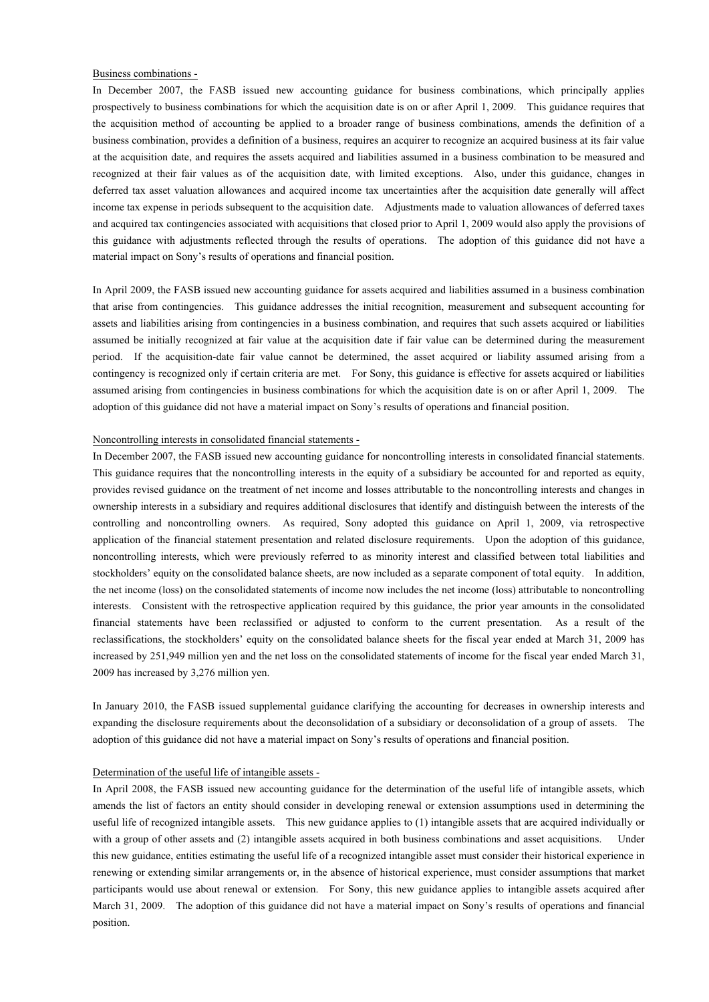### Business combinations -

In December 2007, the FASB issued new accounting guidance for business combinations, which principally applies prospectively to business combinations for which the acquisition date is on or after April 1, 2009. This guidance requires that the acquisition method of accounting be applied to a broader range of business combinations, amends the definition of a business combination, provides a definition of a business, requires an acquirer to recognize an acquired business at its fair value at the acquisition date, and requires the assets acquired and liabilities assumed in a business combination to be measured and recognized at their fair values as of the acquisition date, with limited exceptions. Also, under this guidance, changes in deferred tax asset valuation allowances and acquired income tax uncertainties after the acquisition date generally will affect income tax expense in periods subsequent to the acquisition date. Adjustments made to valuation allowances of deferred taxes and acquired tax contingencies associated with acquisitions that closed prior to April 1, 2009 would also apply the provisions of this guidance with adjustments reflected through the results of operations. The adoption of this guidance did not have a material impact on Sony's results of operations and financial position.

In April 2009, the FASB issued new accounting guidance for assets acquired and liabilities assumed in a business combination that arise from contingencies. This guidance addresses the initial recognition, measurement and subsequent accounting for assets and liabilities arising from contingencies in a business combination, and requires that such assets acquired or liabilities assumed be initially recognized at fair value at the acquisition date if fair value can be determined during the measurement period. If the acquisition-date fair value cannot be determined, the asset acquired or liability assumed arising from a contingency is recognized only if certain criteria are met. For Sony, this guidance is effective for assets acquired or liabilities assumed arising from contingencies in business combinations for which the acquisition date is on or after April 1, 2009. The adoption of this guidance did not have a material impact on Sony's results of operations and financial position.

#### Noncontrolling interests in consolidated financial statements -

In December 2007, the FASB issued new accounting guidance for noncontrolling interests in consolidated financial statements. This guidance requires that the noncontrolling interests in the equity of a subsidiary be accounted for and reported as equity, provides revised guidance on the treatment of net income and losses attributable to the noncontrolling interests and changes in ownership interests in a subsidiary and requires additional disclosures that identify and distinguish between the interests of the controlling and noncontrolling owners. As required, Sony adopted this guidance on April 1, 2009, via retrospective application of the financial statement presentation and related disclosure requirements. Upon the adoption of this guidance, noncontrolling interests, which were previously referred to as minority interest and classified between total liabilities and stockholders' equity on the consolidated balance sheets, are now included as a separate component of total equity. In addition, the net income (loss) on the consolidated statements of income now includes the net income (loss) attributable to noncontrolling interests. Consistent with the retrospective application required by this guidance, the prior year amounts in the consolidated financial statements have been reclassified or adjusted to conform to the current presentation. As a result of the reclassifications, the stockholders' equity on the consolidated balance sheets for the fiscal year ended at March 31, 2009 has increased by 251,949 million yen and the net loss on the consolidated statements of income for the fiscal year ended March 31, 2009 has increased by 3,276 million yen.

In January 2010, the FASB issued supplemental guidance clarifying the accounting for decreases in ownership interests and expanding the disclosure requirements about the deconsolidation of a subsidiary or deconsolidation of a group of assets. The adoption of this guidance did not have a material impact on Sony's results of operations and financial position.

### Determination of the useful life of intangible assets -

In April 2008, the FASB issued new accounting guidance for the determination of the useful life of intangible assets, which amends the list of factors an entity should consider in developing renewal or extension assumptions used in determining the useful life of recognized intangible assets. This new guidance applies to (1) intangible assets that are acquired individually or with a group of other assets and (2) intangible assets acquired in both business combinations and asset acquisitions. Under this new guidance, entities estimating the useful life of a recognized intangible asset must consider their historical experience in renewing or extending similar arrangements or, in the absence of historical experience, must consider assumptions that market participants would use about renewal or extension. For Sony, this new guidance applies to intangible assets acquired after March 31, 2009. The adoption of this guidance did not have a material impact on Sony's results of operations and financial position.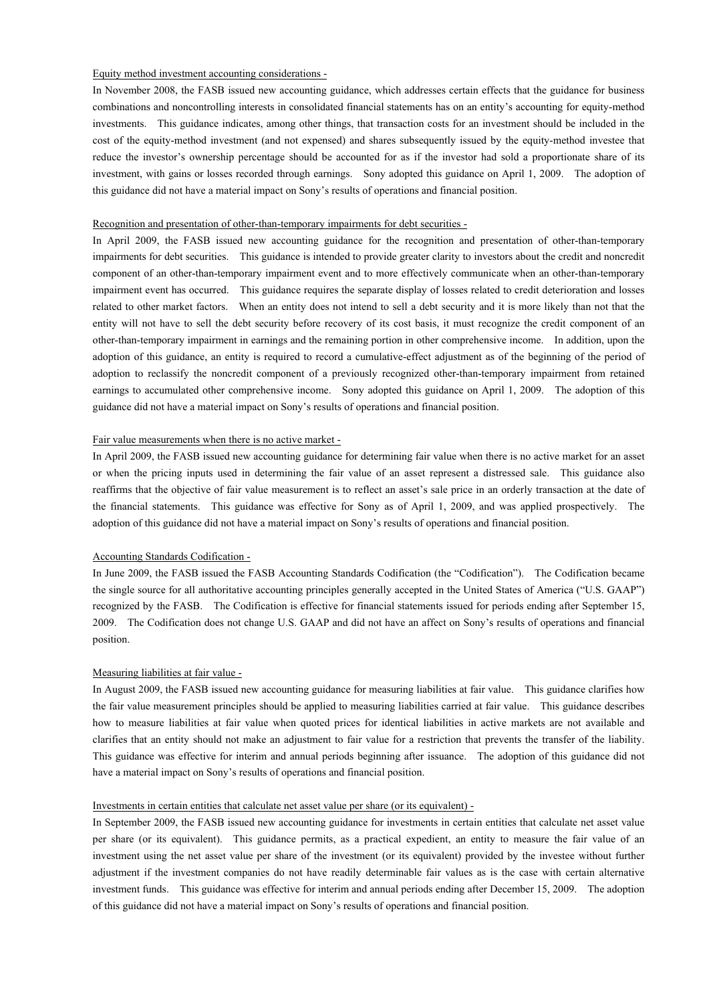### Equity method investment accounting considerations -

In November 2008, the FASB issued new accounting guidance, which addresses certain effects that the guidance for business combinations and noncontrolling interests in consolidated financial statements has on an entity's accounting for equity-method investments. This guidance indicates, among other things, that transaction costs for an investment should be included in the cost of the equity-method investment (and not expensed) and shares subsequently issued by the equity-method investee that reduce the investor's ownership percentage should be accounted for as if the investor had sold a proportionate share of its investment, with gains or losses recorded through earnings. Sony adopted this guidance on April 1, 2009. The adoption of this guidance did not have a material impact on Sony's results of operations and financial position.

#### Recognition and presentation of other-than-temporary impairments for debt securities -

In April 2009, the FASB issued new accounting guidance for the recognition and presentation of other-than-temporary impairments for debt securities. This guidance is intended to provide greater clarity to investors about the credit and noncredit component of an other-than-temporary impairment event and to more effectively communicate when an other-than-temporary impairment event has occurred. This guidance requires the separate display of losses related to credit deterioration and losses related to other market factors. When an entity does not intend to sell a debt security and it is more likely than not that the entity will not have to sell the debt security before recovery of its cost basis, it must recognize the credit component of an other-than-temporary impairment in earnings and the remaining portion in other comprehensive income. In addition, upon the adoption of this guidance, an entity is required to record a cumulative-effect adjustment as of the beginning of the period of adoption to reclassify the noncredit component of a previously recognized other-than-temporary impairment from retained earnings to accumulated other comprehensive income. Sony adopted this guidance on April 1, 2009. The adoption of this guidance did not have a material impact on Sony's results of operations and financial position.

### Fair value measurements when there is no active market -

In April 2009, the FASB issued new accounting guidance for determining fair value when there is no active market for an asset or when the pricing inputs used in determining the fair value of an asset represent a distressed sale. This guidance also reaffirms that the objective of fair value measurement is to reflect an asset's sale price in an orderly transaction at the date of the financial statements. This guidance was effective for Sony as of April 1, 2009, and was applied prospectively. The adoption of this guidance did not have a material impact on Sony's results of operations and financial position.

#### Accounting Standards Codification -

In June 2009, the FASB issued the FASB Accounting Standards Codification (the "Codification"). The Codification became the single source for all authoritative accounting principles generally accepted in the United States of America ("U.S. GAAP") recognized by the FASB. The Codification is effective for financial statements issued for periods ending after September 15, 2009. The Codification does not change U.S. GAAP and did not have an affect on Sony's results of operations and financial position.

### Measuring liabilities at fair value -

In August 2009, the FASB issued new accounting guidance for measuring liabilities at fair value. This guidance clarifies how the fair value measurement principles should be applied to measuring liabilities carried at fair value. This guidance describes how to measure liabilities at fair value when quoted prices for identical liabilities in active markets are not available and clarifies that an entity should not make an adjustment to fair value for a restriction that prevents the transfer of the liability. This guidance was effective for interim and annual periods beginning after issuance. The adoption of this guidance did not have a material impact on Sony's results of operations and financial position.

#### Investments in certain entities that calculate net asset value per share (or its equivalent) -

In September 2009, the FASB issued new accounting guidance for investments in certain entities that calculate net asset value per share (or its equivalent). This guidance permits, as a practical expedient, an entity to measure the fair value of an investment using the net asset value per share of the investment (or its equivalent) provided by the investee without further adjustment if the investment companies do not have readily determinable fair values as is the case with certain alternative investment funds. This guidance was effective for interim and annual periods ending after December 15, 2009. The adoption of this guidance did not have a material impact on Sony's results of operations and financial position.